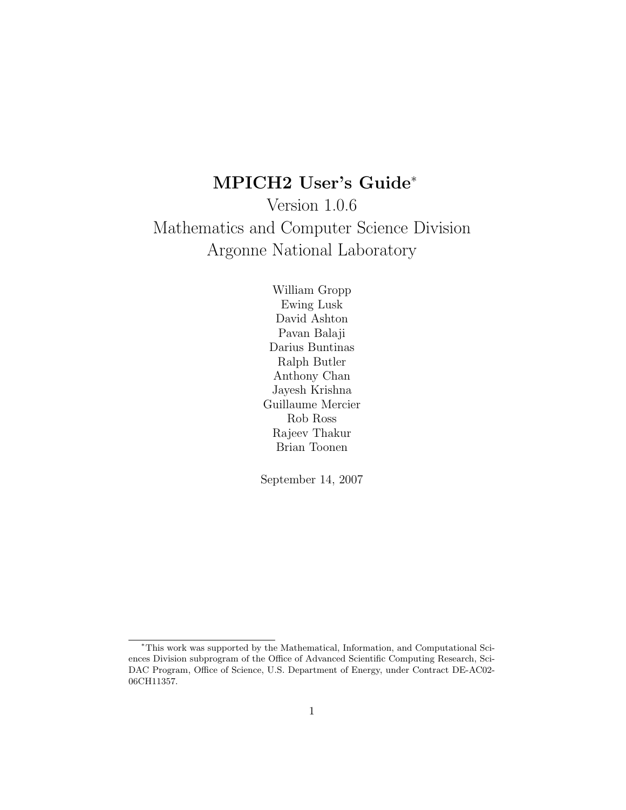# MPICH2 User's Guide<sup>∗</sup>

Version 1.0.6 Mathematics and Computer Science Division Argonne National Laboratory

> William Gropp Ewing Lusk David Ashton Pavan Balaji Darius Buntinas Ralph Butler Anthony Chan Jayesh Krishna Guillaume Mercier Rob Ross Rajeev Thakur Brian Toonen

September 14, 2007

<sup>∗</sup>This work was supported by the Mathematical, Information, and Computational Sciences Division subprogram of the Office of Advanced Scientific Computing Research, Sci-DAC Program, Office of Science, U.S. Department of Energy, under Contract DE-AC02- 06CH11357.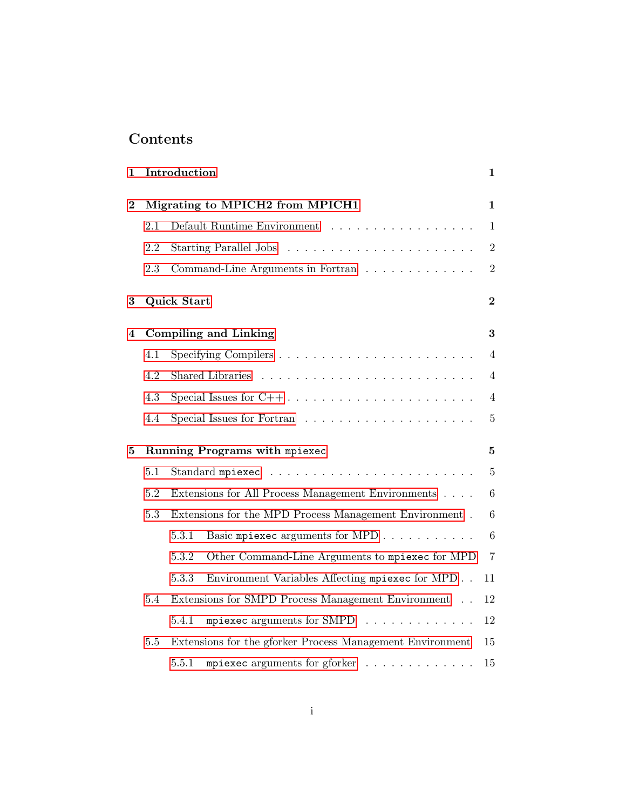# Contents

| 1        | Introduction |                                                                           | 1              |  |
|----------|--------------|---------------------------------------------------------------------------|----------------|--|
| $\bf{2}$ |              | Migrating to MPICH2 from MPICH1<br>1                                      |                |  |
|          | 2.1          | Default Runtime Environment                                               | 1              |  |
|          | 2.2          |                                                                           | $\overline{2}$ |  |
|          | 2.3          | Command-Line Arguments in Fortran                                         | $\overline{2}$ |  |
| $\bf{3}$ |              | <b>Quick Start</b>                                                        | $\overline{2}$ |  |
| 4        |              | <b>Compiling and Linking</b>                                              | 3              |  |
|          | 4.1          |                                                                           | 4              |  |
|          | 4.2          |                                                                           | 4              |  |
|          | 4.3          | Special Issues for $C++ \ldots \ldots \ldots \ldots \ldots \ldots \ldots$ | 4              |  |
|          | 4.4          |                                                                           | $\overline{5}$ |  |
| 5        |              | Running Programs with mpiexec                                             | 5              |  |
|          | 5.1          |                                                                           | $\overline{5}$ |  |
|          | 5.2          | Extensions for All Process Management Environments                        | 6              |  |
|          | 5.3          | Extensions for the MPD Process Management Environment.                    | 6              |  |
|          |              | 5.3.1<br>Basic mpiexec arguments for MPD                                  | 6              |  |
|          |              | 5.3.2<br>Other Command-Line Arguments to mpiexec for MPD                  | $\overline{7}$ |  |
|          |              | 5.3.3<br>Environment Variables Affecting mpiexec for MPD                  | 11             |  |
|          | 5.4          | Extensions for SMPD Process Management Environment                        | 12             |  |
|          |              | mpiexec arguments for SMPD $\ldots \ldots \ldots \ldots$<br>5.4.1         | 12             |  |
|          | 5.5          | Extensions for the gforker Process Management Environment<br>15           |                |  |
|          |              | mpiexec arguments for gforker $\dots \dots \dots \dots$<br>5.5.1          | 15             |  |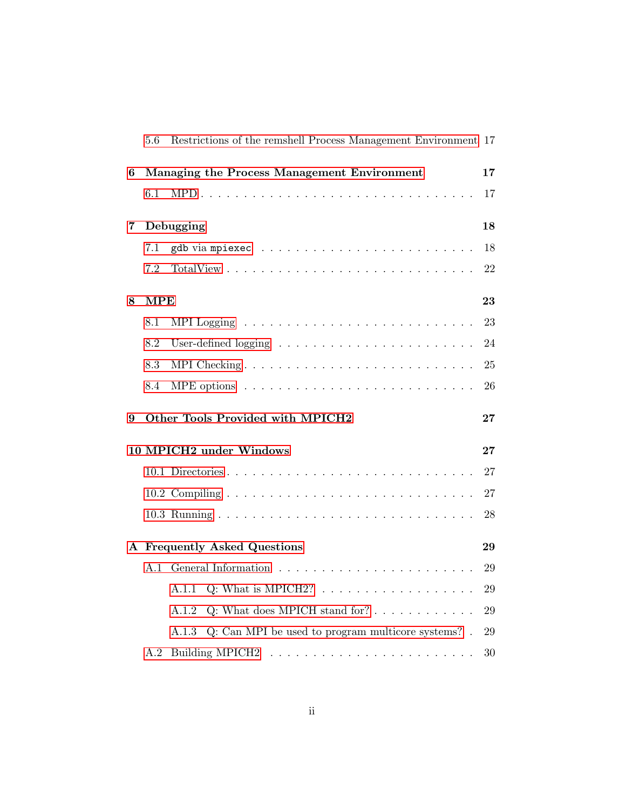|   | 5.6        | Restrictions of the remshell Process Management Environment 17       |        |  |
|---|------------|----------------------------------------------------------------------|--------|--|
| 6 |            | Managing the Process Management Environment<br>17                    |        |  |
|   | 6.1        |                                                                      | 17     |  |
| 7 |            | Debugging                                                            | 18     |  |
|   | 7.1        |                                                                      | 18     |  |
|   | 7.2        |                                                                      | 22     |  |
| 8 | <b>MPE</b> |                                                                      | 23     |  |
|   | 8.1        |                                                                      | 23     |  |
|   | 8.2        |                                                                      | 24     |  |
|   | 8.3        |                                                                      | 25     |  |
|   | 8.4        |                                                                      | 26     |  |
| 9 |            | Other Tools Provided with MPICH2                                     | 27     |  |
|   |            | 10 MPICH2 under Windows                                              | $27\,$ |  |
|   |            |                                                                      | 27     |  |
|   |            |                                                                      | 27     |  |
|   |            |                                                                      | 28     |  |
|   |            | A Frequently Asked Questions                                         | 29     |  |
|   |            |                                                                      | 29     |  |
|   |            | $Q: What is MPICH2?       $<br>A.1.1                                 | 29     |  |
|   |            | Q: What does MPICH stand for? $\ldots \ldots \ldots \ldots$<br>A.1.2 | 29     |  |
|   |            | A.1.3 Q: Can MPI be used to program multicore systems?.              | 29     |  |
|   | A.2        |                                                                      | 30     |  |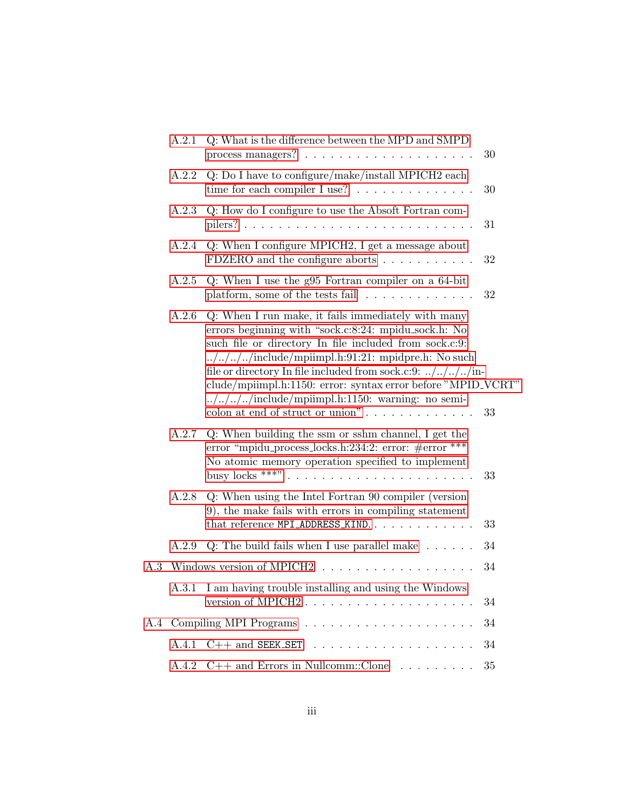|           |       | A.2.1 Q: What is the difference between the MPD and SMPD                                                                                                                                                                                                                                                                                                                                                                                                                          | 30 |
|-----------|-------|-----------------------------------------------------------------------------------------------------------------------------------------------------------------------------------------------------------------------------------------------------------------------------------------------------------------------------------------------------------------------------------------------------------------------------------------------------------------------------------|----|
|           | A.2.2 | Q: Do I have to configure/make/install MPICH2 each<br>time for each compiler $I$ use? $\ldots \ldots \ldots \ldots$                                                                                                                                                                                                                                                                                                                                                               | 30 |
|           | A.2.3 | Q: How do I configure to use the Absoft Fortran com-                                                                                                                                                                                                                                                                                                                                                                                                                              | 31 |
|           | A.2.4 | Q: When I configure MPICH2, I get a message about<br>FDZERO and the configure aborts $\ldots \ldots \ldots$                                                                                                                                                                                                                                                                                                                                                                       | 32 |
|           | A.2.5 | $Q:$ When I use the g95 Fortran compiler on a 64-bit<br>platform, some of the tests fail $\ldots \ldots \ldots \ldots$                                                                                                                                                                                                                                                                                                                                                            | 32 |
|           | A.2.6 | Q: When I run make, it fails immediately with many<br>errors beginning with "sock.c:8:24: mpidu_sock.h: No<br>such file or directory In file included from sock.c:9:<br>$\ldots/\ldots/\ldots$ /include/mpiimpl.h:91:21: mpidpre.h: No such<br>file or directory In file included from sock.c:9: ////in-<br>clude/mpiimpl.h:1150: error: syntax error before "MPID_VCRT"<br>$\ldots/\ldots/\ldots$ /include/mpiimpl.h:1150: warning: no semi-<br>colon at end of struct or union" | 33 |
|           | A.2.7 | Q: When building the ssm or sshm channel, I get the<br>error "mpidu_process_locks.h:234:2: error: #error ***<br>No atomic memory operation specified to implement                                                                                                                                                                                                                                                                                                                 | 33 |
|           | A.2.8 | Q: When using the Intel Fortran 90 compiler (version<br>9), the make fails with errors in compiling statement<br>that reference MPI_ADDRESS_KIND                                                                                                                                                                                                                                                                                                                                  | 33 |
|           | A.2.9 | Q: The build fails when I use parallel make $\dots \dots$                                                                                                                                                                                                                                                                                                                                                                                                                         | 34 |
| $\rm A.3$ |       | Windows version of MPICH2                                                                                                                                                                                                                                                                                                                                                                                                                                                         | 34 |
|           | A.3.1 | I am having trouble installing and using the Windows<br>version of MPICH2                                                                                                                                                                                                                                                                                                                                                                                                         | 34 |
|           |       |                                                                                                                                                                                                                                                                                                                                                                                                                                                                                   | 34 |
|           |       |                                                                                                                                                                                                                                                                                                                                                                                                                                                                                   | 34 |
|           |       | A.4.2 C++ and Errors in Nullcomm::Clone                                                                                                                                                                                                                                                                                                                                                                                                                                           | 35 |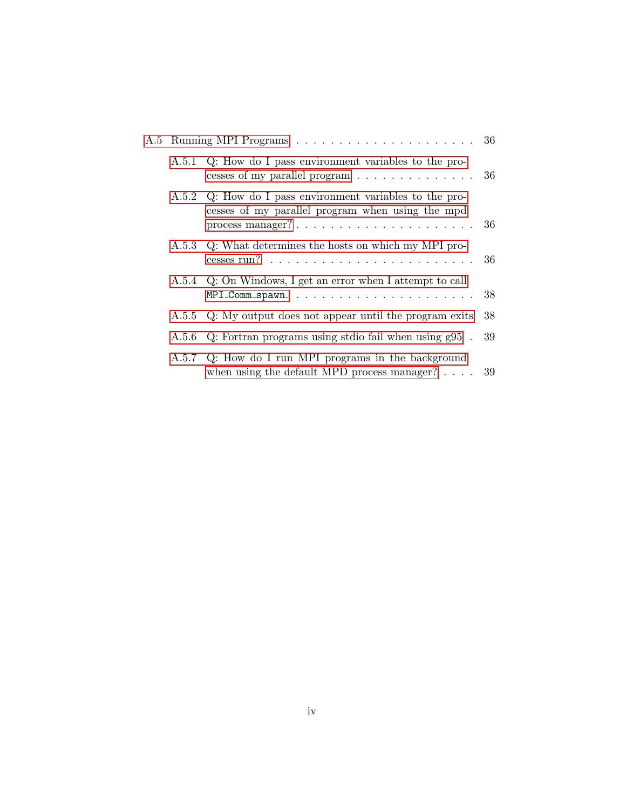|  | A.5.1 Q: How do I pass environment variables to the pro-<br>cesses of my parallel program                                        | 36 |
|--|----------------------------------------------------------------------------------------------------------------------------------|----|
|  | A.5.2 Q: How do I pass environment variables to the pro-<br>cesses of my parallel program when using the mpd                     | 36 |
|  | A.5.3 Q: What determines the hosts on which my MPI pro-<br>cesses run? $\ldots \ldots \ldots \ldots \ldots \ldots \ldots \ldots$ | 36 |
|  | A.5.4 Q: On Windows, I get an error when I attempt to call                                                                       | 38 |
|  | A.5.5 Q: My output does not appear until the program exits                                                                       | 38 |
|  | A.5.6 Q: Fortran programs using stdio fail when using $g95$ .                                                                    | 39 |
|  | A.5.7 Q: How do I run MPI programs in the background<br>when using the default MPD process manager? $\ldots$ 39                  |    |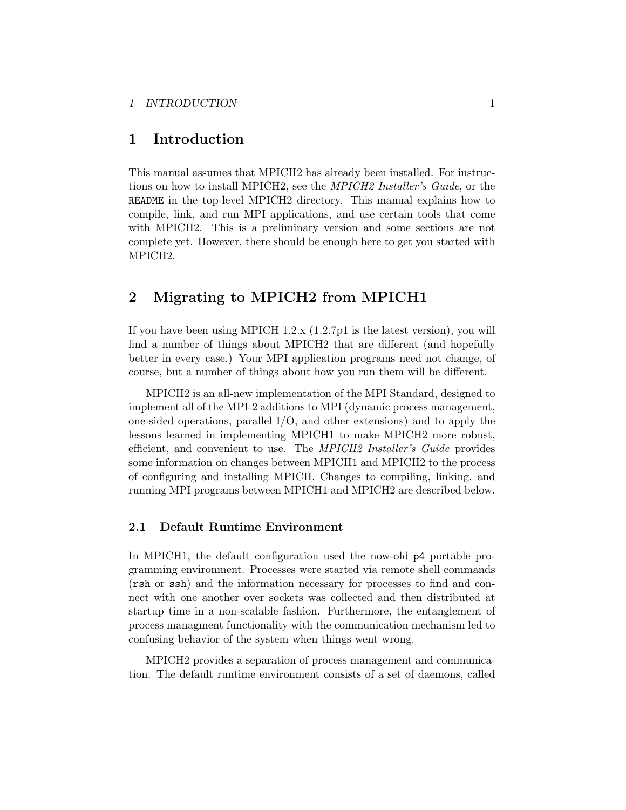## <span id="page-5-0"></span>1 Introduction

This manual assumes that MPICH2 has already been installed. For instructions on how to install MPICH2, see the MPICH2 Installer's Guide, or the README in the top-level MPICH2 directory. This manual explains how to compile, link, and run MPI applications, and use certain tools that come with MPICH2. This is a preliminary version and some sections are not complete yet. However, there should be enough here to get you started with MPICH2.

## 2 Migrating to MPICH2 from MPICH1

If you have been using MPICH 1.2.x (1.2.7p1 is the latest version), you will find a number of things about MPICH2 that are different (and hopefully better in every case.) Your MPI application programs need not change, of course, but a number of things about how you run them will be different.

MPICH2 is an all-new implementation of the MPI Standard, designed to implement all of the MPI-2 additions to MPI (dynamic process management, one-sided operations, parallel I/O, and other extensions) and to apply the lessons learned in implementing MPICH1 to make MPICH2 more robust, efficient, and convenient to use. The MPICH2 Installer's Guide provides some information on changes between MPICH1 and MPICH2 to the process of configuring and installing MPICH. Changes to compiling, linking, and running MPI programs between MPICH1 and MPICH2 are described below.

### 2.1 Default Runtime Environment

In MPICH1, the default configuration used the now-old p4 portable programming environment. Processes were started via remote shell commands (rsh or ssh) and the information necessary for processes to find and connect with one another over sockets was collected and then distributed at startup time in a non-scalable fashion. Furthermore, the entanglement of process managment functionality with the communication mechanism led to confusing behavior of the system when things went wrong.

MPICH2 provides a separation of process management and communication. The default runtime environment consists of a set of daemons, called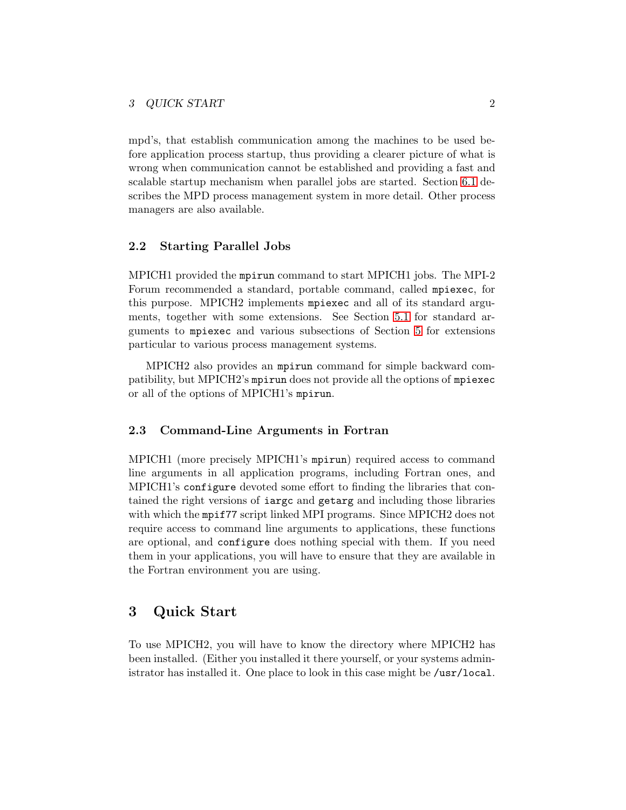<span id="page-6-0"></span>mpd's, that establish communication among the machines to be used before application process startup, thus providing a clearer picture of what is wrong when communication cannot be established and providing a fast and scalable startup mechanism when parallel jobs are started. Section [6.1](#page-21-0) describes the MPD process management system in more detail. Other process managers are also available.

## 2.2 Starting Parallel Jobs

MPICH1 provided the mpirun command to start MPICH1 jobs. The MPI-2 Forum recommended a standard, portable command, called mpiexec, for this purpose. MPICH2 implements mpiexec and all of its standard arguments, together with some extensions. See Section [5.1](#page-9-0) for standard arguments to mpiexec and various subsections of Section [5](#page-9-0) for extensions particular to various process management systems.

MPICH2 also provides an mpirun command for simple backward compatibility, but MPICH2's mpirun does not provide all the options of mpiexec or all of the options of MPICH1's mpirun.

### 2.3 Command-Line Arguments in Fortran

MPICH1 (more precisely MPICH1's mpirun) required access to command line arguments in all application programs, including Fortran ones, and MPICH1's configure devoted some effort to finding the libraries that contained the right versions of iargc and getarg and including those libraries with which the mpif77 script linked MPI programs. Since MPICH2 does not require access to command line arguments to applications, these functions are optional, and configure does nothing special with them. If you need them in your applications, you will have to ensure that they are available in the Fortran environment you are using.

## 3 Quick Start

To use MPICH2, you will have to know the directory where MPICH2 has been installed. (Either you installed it there yourself, or your systems administrator has installed it. One place to look in this case might be /usr/local.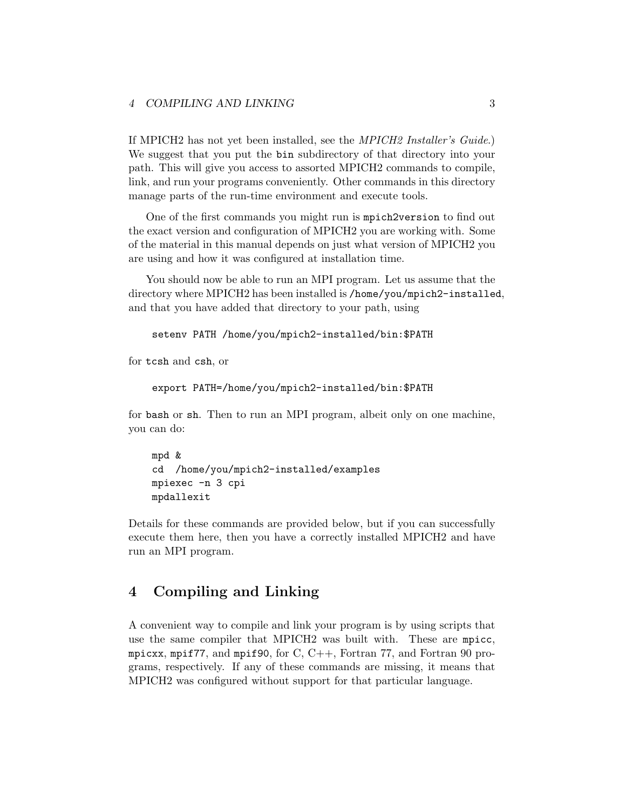### <span id="page-7-0"></span>4 COMPILING AND LINKING 3

If MPICH2 has not yet been installed, see the MPICH2 Installer's Guide.) We suggest that you put the bin subdirectory of that directory into your path. This will give you access to assorted MPICH2 commands to compile, link, and run your programs conveniently. Other commands in this directory manage parts of the run-time environment and execute tools.

One of the first commands you might run is mpich2version to find out the exact version and configuration of MPICH2 you are working with. Some of the material in this manual depends on just what version of MPICH2 you are using and how it was configured at installation time.

You should now be able to run an MPI program. Let us assume that the directory where MPICH2 has been installed is /home/you/mpich2-installed, and that you have added that directory to your path, using

setenv PATH /home/you/mpich2-installed/bin:\$PATH

for tcsh and csh, or

```
export PATH=/home/you/mpich2-installed/bin:$PATH
```
for bash or sh. Then to run an MPI program, albeit only on one machine, you can do:

```
mpd &
cd /home/you/mpich2-installed/examples
mpiexec -n 3 cpi
mpdallexit
```
Details for these commands are provided below, but if you can successfully execute them here, then you have a correctly installed MPICH2 and have run an MPI program.

## 4 Compiling and Linking

A convenient way to compile and link your program is by using scripts that use the same compiler that MPICH2 was built with. These are mpicc, mpicxx, mpif77, and mpif90, for C, C++, Fortran 77, and Fortran 90 programs, respectively. If any of these commands are missing, it means that MPICH2 was configured without support for that particular language.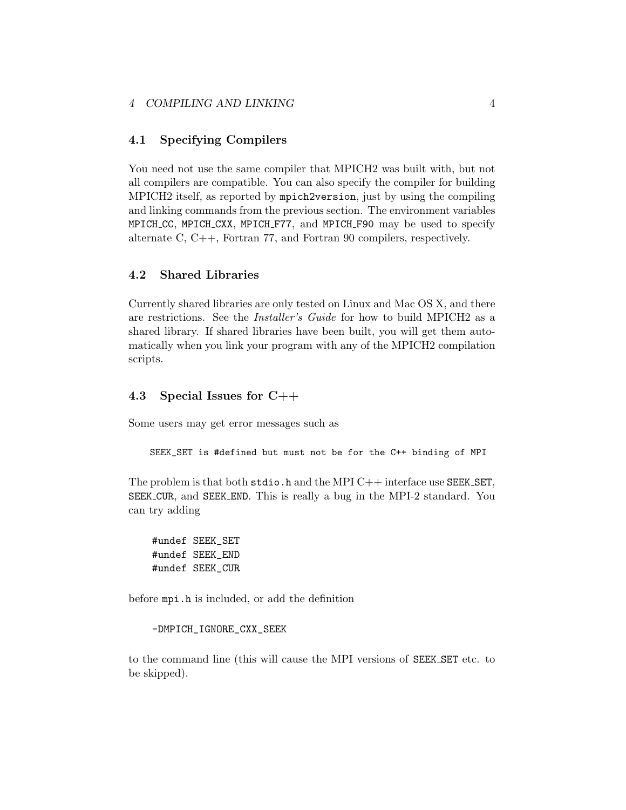### <span id="page-8-0"></span>4 COMPILING AND LINKING 4 4

## 4.1 Specifying Compilers

You need not use the same compiler that MPICH2 was built with, but not all compilers are compatible. You can also specify the compiler for building MPICH2 itself, as reported by mpich2version, just by using the compiling and linking commands from the previous section. The environment variables MPICH CC, MPICH CXX, MPICH F77, and MPICH F90 may be used to specify alternate C, C++, Fortran 77, and Fortran 90 compilers, respectively.

## 4.2 Shared Libraries

Currently shared libraries are only tested on Linux and Mac OS X, and there are restrictions. See the Installer's Guide for how to build MPICH2 as a shared library. If shared libraries have been built, you will get them automatically when you link your program with any of the MPICH2 compilation scripts.

## 4.3 Special Issues for C++

Some users may get error messages such as

```
SEEK_SET is #defined but must not be for the C++ binding of MPI
```
The problem is that both  $\text{stdio.h}$  and the MPI  $C++$  interface use SEEK SET, SEEK CUR, and SEEK END. This is really a bug in the MPI-2 standard. You can try adding

```
#undef SEEK_SET
#undef SEEK_END
#undef SEEK_CUR
```
before mpi.h is included, or add the definition

-DMPICH\_IGNORE\_CXX\_SEEK

to the command line (this will cause the MPI versions of SEEK SET etc. to be skipped).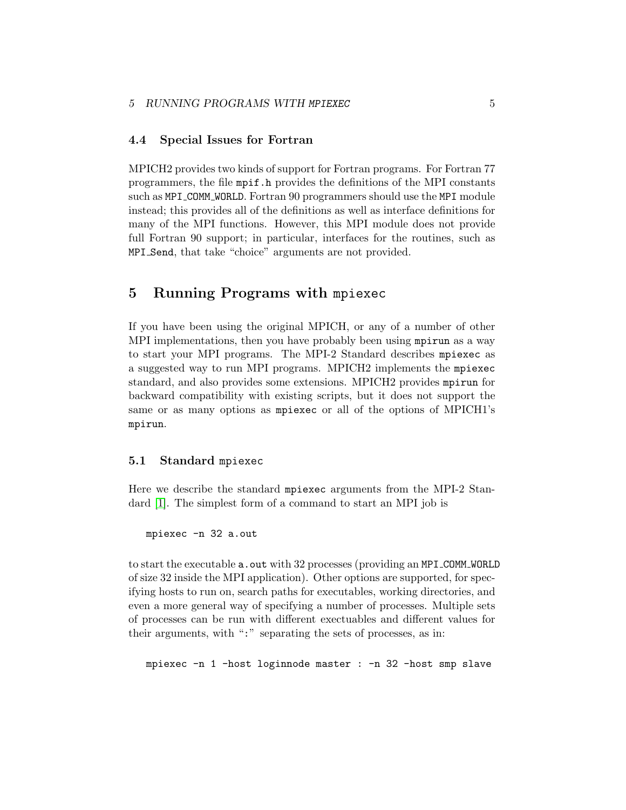### <span id="page-9-0"></span>5 RUNNING PROGRAMS WITH MPIEXEC 5

### 4.4 Special Issues for Fortran

MPICH2 provides two kinds of support for Fortran programs. For Fortran 77 programmers, the file mpif.h provides the definitions of the MPI constants such as MPI COMM WORLD. Fortran 90 programmers should use the MPI module instead; this provides all of the definitions as well as interface definitions for many of the MPI functions. However, this MPI module does not provide full Fortran 90 support; in particular, interfaces for the routines, such as MPI Send, that take "choice" arguments are not provided.

## 5 Running Programs with mpiexec

If you have been using the original MPICH, or any of a number of other MPI implementations, then you have probably been using mpirun as a way to start your MPI programs. The MPI-2 Standard describes mpiexec as a suggested way to run MPI programs. MPICH2 implements the mpiexec standard, and also provides some extensions. MPICH2 provides mpirun for backward compatibility with existing scripts, but it does not support the same or as many options as mpiexec or all of the options of MPICH1's mpirun.

### 5.1 Standard mpiexec

Here we describe the standard mpiexec arguments from the MPI-2 Standard [\[1\]](#page-43-0). The simplest form of a command to start an MPI job is

```
mpiexec -n 32 a.out
```
to start the executable a.out with 32 processes (providing an MPI COMM WORLD of size 32 inside the MPI application). Other options are supported, for specifying hosts to run on, search paths for executables, working directories, and even a more general way of specifying a number of processes. Multiple sets of processes can be run with different exectuables and different values for their arguments, with ":" separating the sets of processes, as in:

```
mpiexec -n 1 -host loginnode master : -n 32 -host smp slave
```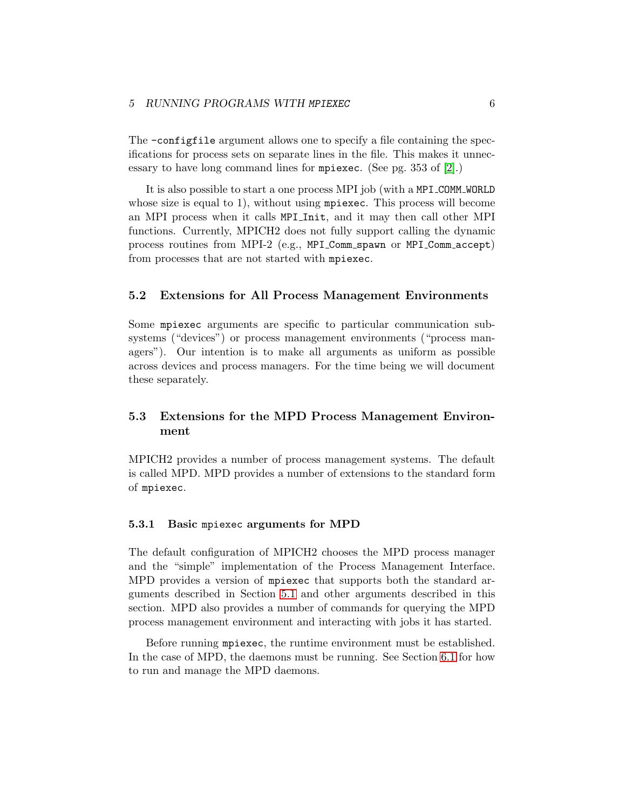<span id="page-10-0"></span>The -configfile argument allows one to specify a file containing the specifications for process sets on separate lines in the file. This makes it unnecessary to have long command lines for mpiexec. (See pg. 353 of [\[2\]](#page-43-0).)

It is also possible to start a one process MPI job (with a MPI COMM WORLD whose size is equal to 1), without using mpiexec. This process will become an MPI process when it calls MPI Init, and it may then call other MPI functions. Currently, MPICH2 does not fully support calling the dynamic process routines from MPI-2 (e.g., MPI Comm spawn or MPI Comm accept) from processes that are not started with mpiexec.

### 5.2 Extensions for All Process Management Environments

Some mpiexec arguments are specific to particular communication subsystems ("devices") or process management environments ("process managers"). Our intention is to make all arguments as uniform as possible across devices and process managers. For the time being we will document these separately.

## 5.3 Extensions for the MPD Process Management Environment

MPICH2 provides a number of process management systems. The default is called MPD. MPD provides a number of extensions to the standard form of mpiexec.

### 5.3.1 Basic mpiexec arguments for MPD

The default configuration of MPICH2 chooses the MPD process manager and the "simple" implementation of the Process Management Interface. MPD provides a version of mpiexec that supports both the standard arguments described in Section [5.1](#page-9-0) and other arguments described in this section. MPD also provides a number of commands for querying the MPD process management environment and interacting with jobs it has started.

Before running mpiexec, the runtime environment must be established. In the case of MPD, the daemons must be running. See Section [6.1](#page-21-0) for how to run and manage the MPD daemons.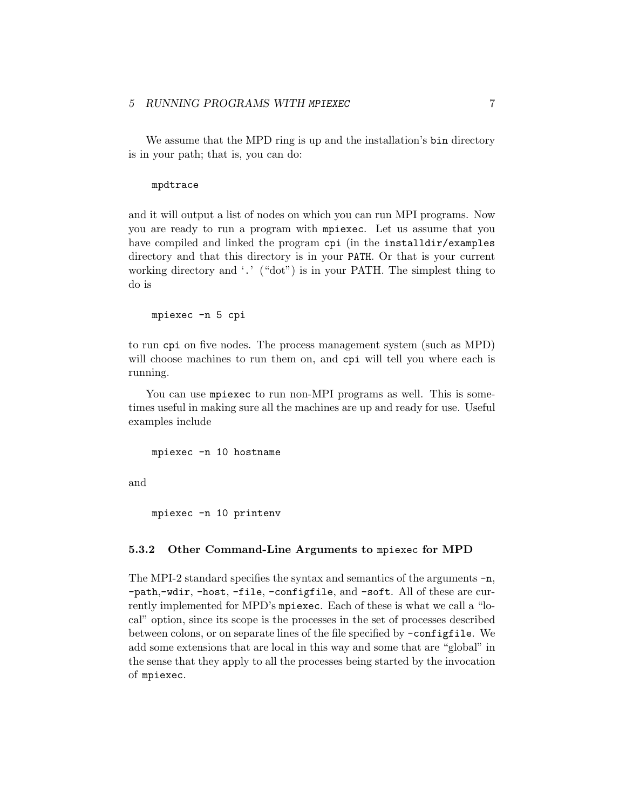<span id="page-11-0"></span>We assume that the MPD ring is up and the installation's bin directory is in your path; that is, you can do:

### mpdtrace

and it will output a list of nodes on which you can run MPI programs. Now you are ready to run a program with mpiexec. Let us assume that you have compiled and linked the program cpi (in the installdir/examples directory and that this directory is in your PATH. Or that is your current working directory and '.' ("dot") is in your PATH. The simplest thing to do is

```
mpiexec -n 5 cpi
```
to run cpi on five nodes. The process management system (such as MPD) will choose machines to run them on, and cpi will tell you where each is running.

You can use mpiexec to run non-MPI programs as well. This is sometimes useful in making sure all the machines are up and ready for use. Useful examples include

```
mpiexec -n 10 hostname
```
and

```
mpiexec -n 10 printenv
```
### 5.3.2 Other Command-Line Arguments to mpiexec for MPD

The MPI-2 standard specifies the syntax and semantics of the arguments -n, -path,-wdir, -host, -file, -configfile, and -soft. All of these are currently implemented for MPD's mpiexec. Each of these is what we call a "local" option, since its scope is the processes in the set of processes described between colons, or on separate lines of the file specified by -configfile. We add some extensions that are local in this way and some that are "global" in the sense that they apply to all the processes being started by the invocation of mpiexec.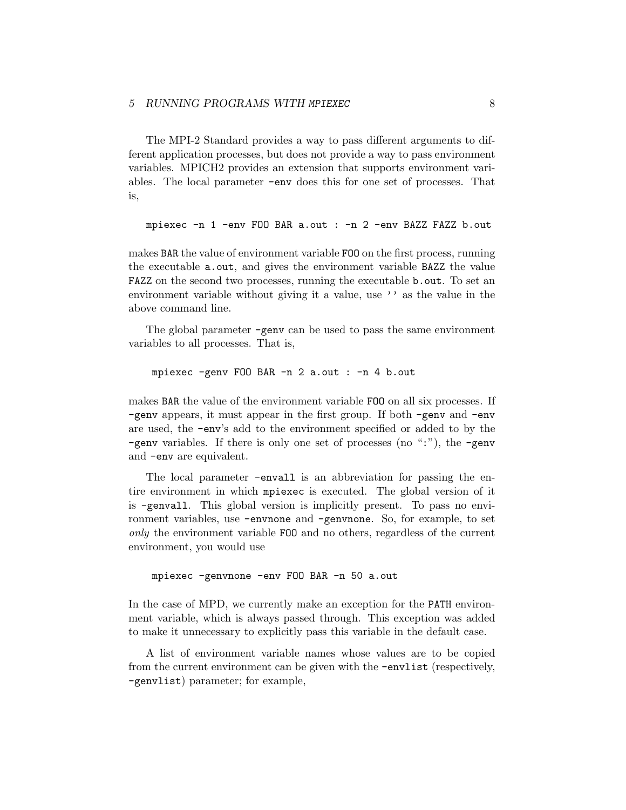The MPI-2 Standard provides a way to pass different arguments to different application processes, but does not provide a way to pass environment variables. MPICH2 provides an extension that supports environment variables. The local parameter -env does this for one set of processes. That is,

```
mpiexec -n 1 -env FOO BAR a.out : -n 2 -env BAZZ FAZZ b.out
```
makes BAR the value of environment variable FOO on the first process, running the executable a.out, and gives the environment variable BAZZ the value FAZZ on the second two processes, running the executable b.out. To set an environment variable without giving it a value, use '' as the value in the above command line.

The global parameter -genv can be used to pass the same environment variables to all processes. That is,

mpiexec -genv FOO BAR -n 2 a.out : -n 4 b.out

makes BAR the value of the environment variable FOO on all six processes. If -genv appears, it must appear in the first group. If both -genv and -env are used, the -env's add to the environment specified or added to by the -genv variables. If there is only one set of processes (no ":"), the -genv and -env are equivalent.

The local parameter -envall is an abbreviation for passing the entire environment in which mpiexec is executed. The global version of it is -genvall. This global version is implicitly present. To pass no environment variables, use -envnone and -genvnone. So, for example, to set only the environment variable FOO and no others, regardless of the current environment, you would use

mpiexec -genvnone -env FOO BAR -n 50 a.out

In the case of MPD, we currently make an exception for the PATH environment variable, which is always passed through. This exception was added to make it unnecessary to explicitly pass this variable in the default case.

A list of environment variable names whose values are to be copied from the current environment can be given with the -envlist (respectively, -genvlist) parameter; for example,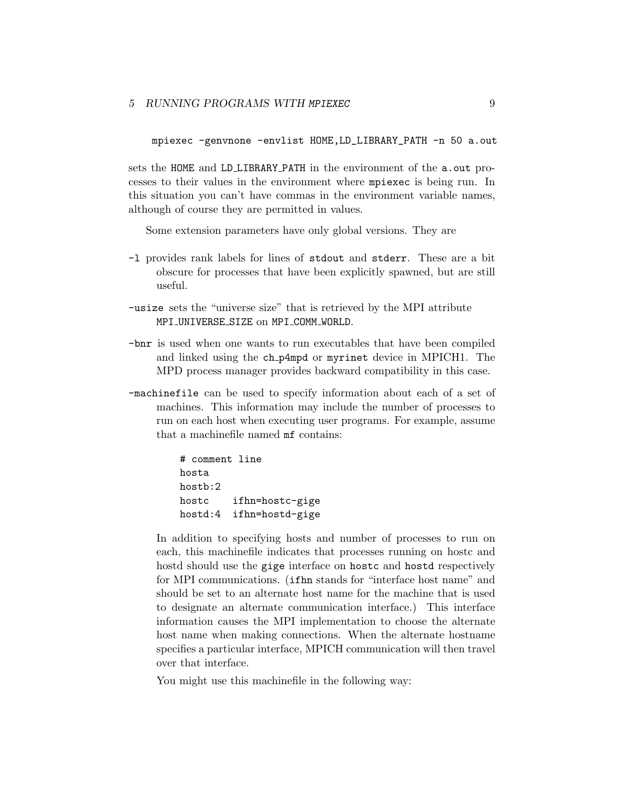mpiexec -genvnone -envlist HOME,LD\_LIBRARY\_PATH -n 50 a.out

sets the HOME and LD\_LIBRARY\_PATH in the environment of the a.out processes to their values in the environment where mpiexec is being run. In this situation you can't have commas in the environment variable names, although of course they are permitted in values.

Some extension parameters have only global versions. They are

- -l provides rank labels for lines of stdout and stderr. These are a bit obscure for processes that have been explicitly spawned, but are still useful.
- -usize sets the "universe size" that is retrieved by the MPI attribute MPI UNIVERSE SIZE on MPI COMM WORLD.
- -bnr is used when one wants to run executables that have been compiled and linked using the ch p4mpd or myrinet device in MPICH1. The MPD process manager provides backward compatibility in this case.
- -machinefile can be used to specify information about each of a set of machines. This information may include the number of processes to run on each host when executing user programs. For example, assume that a machinefile named mf contains:

# comment line hosta hostb:2 hostc ifhn=hostc-gige hostd:4 ifhn=hostd-gige

In addition to specifying hosts and number of processes to run on each, this machinefile indicates that processes running on hostc and hostd should use the gige interface on hostc and hostd respectively for MPI communications. (ifhn stands for "interface host name" and should be set to an alternate host name for the machine that is used to designate an alternate communication interface.) This interface information causes the MPI implementation to choose the alternate host name when making connections. When the alternate hostname specifies a particular interface, MPICH communication will then travel over that interface.

You might use this machinefile in the following way: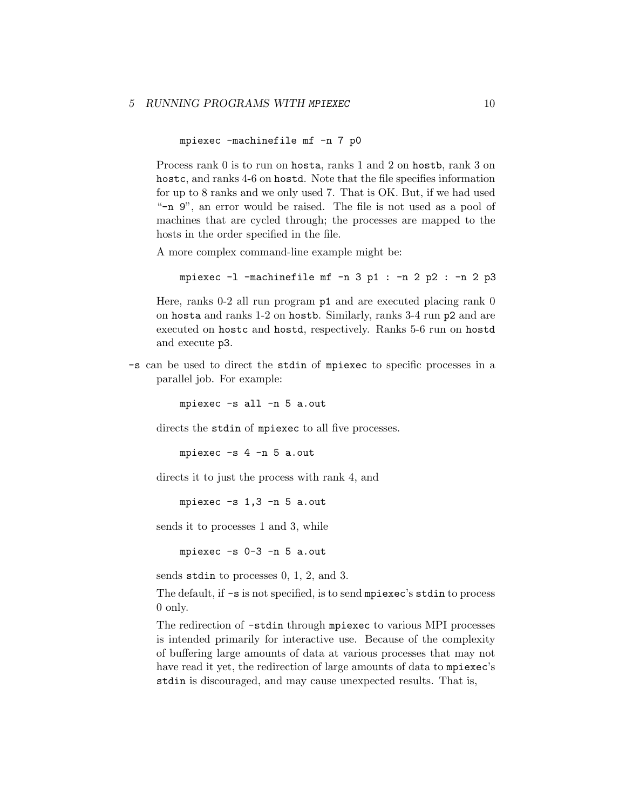```
mpiexec -machinefile mf -n 7 p0
```
Process rank 0 is to run on hosta, ranks 1 and 2 on hostb, rank 3 on hostc, and ranks 4-6 on hostd. Note that the file specifies information for up to 8 ranks and we only used 7. That is OK. But, if we had used "-n 9", an error would be raised. The file is not used as a pool of machines that are cycled through; the processes are mapped to the hosts in the order specified in the file.

A more complex command-line example might be:

```
mpiexec -l -machinefile mf -n 3 p1 : -n 2 p2 : -n 2 p3
```
Here, ranks 0-2 all run program p1 and are executed placing rank 0 on hosta and ranks 1-2 on hostb. Similarly, ranks 3-4 run p2 and are executed on hostc and hostd, respectively. Ranks 5-6 run on hostd and execute p3.

-s can be used to direct the stdin of mpiexec to specific processes in a parallel job. For example:

mpiexec -s all -n 5 a.out

directs the stdin of mpiexec to all five processes.

mpiexec -s 4 -n 5 a.out

directs it to just the process with rank 4, and

mpiexec -s 1,3 -n 5 a.out

sends it to processes 1 and 3, while

mpiexec -s 0-3 -n 5 a.out

sends stdin to processes 0, 1, 2, and 3.

The default, if -s is not specified, is to send mpiexec's stdin to process 0 only.

The redirection of -stdin through mpiexec to various MPI processes is intended primarily for interactive use. Because of the complexity of buffering large amounts of data at various processes that may not have read it yet, the redirection of large amounts of data to mpiexec's stdin is discouraged, and may cause unexpected results. That is,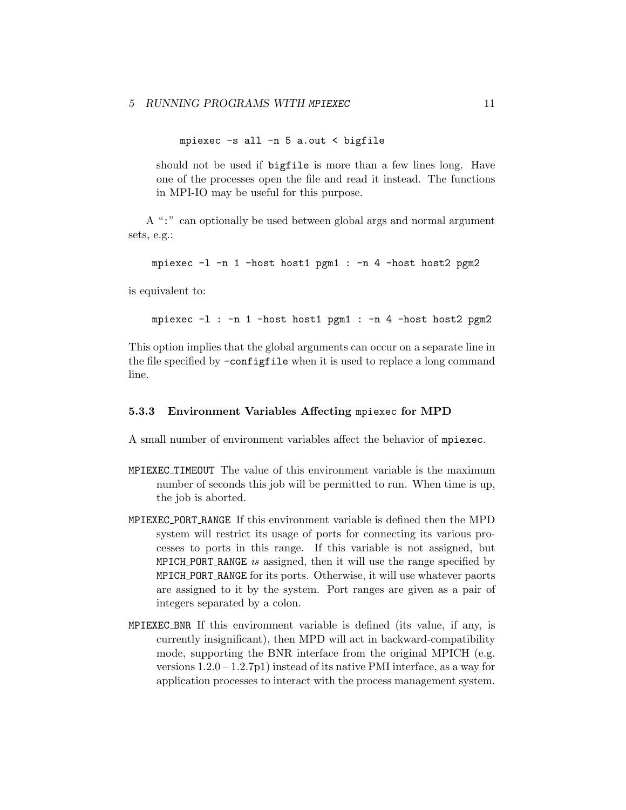mpiexec -s all -n 5 a.out < bigfile

<span id="page-15-0"></span>should not be used if bigfile is more than a few lines long. Have one of the processes open the file and read it instead. The functions in MPI-IO may be useful for this purpose.

A ":" can optionally be used between global args and normal argument sets, e.g.:

mpiexec -l -n 1 -host host1 pgm1 : -n 4 -host host2 pgm2

is equivalent to:

mpiexec -l : -n 1 -host host1 pgm1 : -n 4 -host host2 pgm2

This option implies that the global arguments can occur on a separate line in the file specified by -configfile when it is used to replace a long command line.

### 5.3.3 Environment Variables Affecting mpiexec for MPD

A small number of environment variables affect the behavior of mpiexec.

- MPIEXEC TIMEOUT The value of this environment variable is the maximum number of seconds this job will be permitted to run. When time is up, the job is aborted.
- MPIEXEC PORT RANGE If this environment variable is defined then the MPD system will restrict its usage of ports for connecting its various processes to ports in this range. If this variable is not assigned, but MPICH\_PORT\_RANGE is assigned, then it will use the range specified by MPICH PORT RANGE for its ports. Otherwise, it will use whatever paorts are assigned to it by the system. Port ranges are given as a pair of integers separated by a colon.
- MPIEXEC BNR If this environment variable is defined (its value, if any, is currently insignificant), then MPD will act in backward-compatibility mode, supporting the BNR interface from the original MPICH (e.g. versions  $1.2.0 - 1.2.7p1$ ) instead of its native PMI interface, as a way for application processes to interact with the process management system.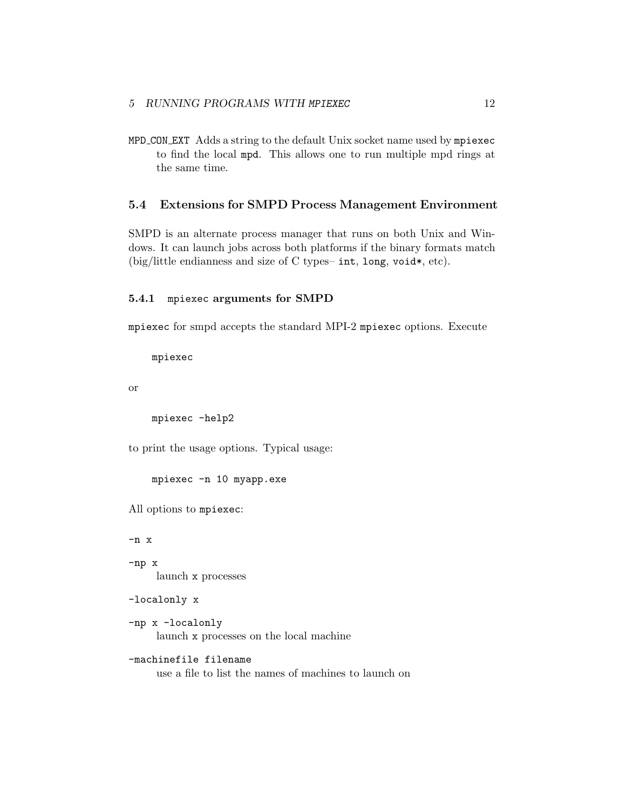<span id="page-16-0"></span>MPD CON EXT Adds a string to the default Unix socket name used by mpiexec to find the local mpd. This allows one to run multiple mpd rings at the same time.

## 5.4 Extensions for SMPD Process Management Environment

SMPD is an alternate process manager that runs on both Unix and Windows. It can launch jobs across both platforms if the binary formats match (big/little endianness and size of C types– int, long, void\*, etc).

## 5.4.1 mpiexec arguments for SMPD

mpiexec for smpd accepts the standard MPI-2 mpiexec options. Execute

mpiexec

or

```
mpiexec -help2
```
to print the usage options. Typical usage:

mpiexec -n 10 myapp.exe

All options to mpiexec:

-n x

-np x launch x processes

-localonly x

-np x -localonly launch x processes on the local machine

-machinefile filename use a file to list the names of machines to launch on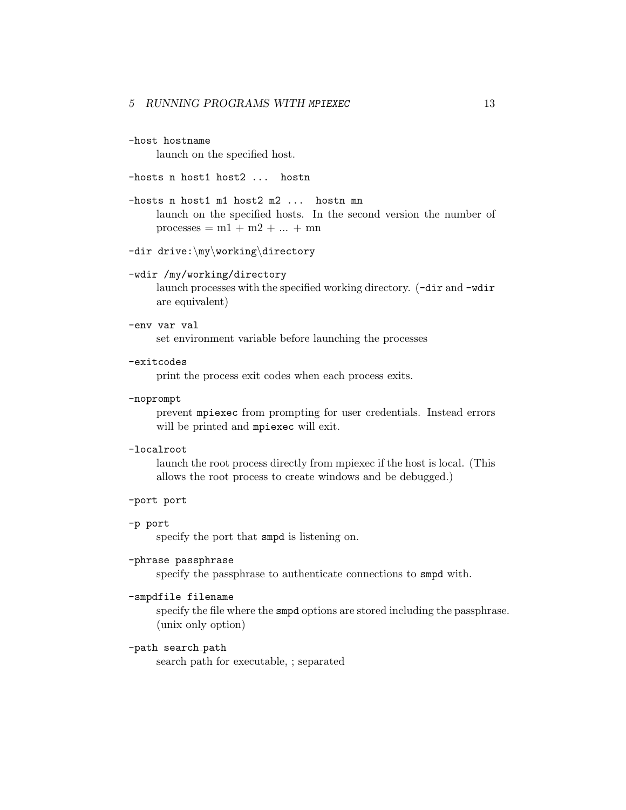### -host hostname

launch on the specified host.

-hosts n host1 host2 ... hostn

-hosts n host1 m1 host2 m2 ... hostn mn launch on the specified hosts. In the second version the number of processes =  $m1 + m2 + ... + mn$ 

-dir drive:\my\working\directory

### -wdir /my/working/directory

launch processes with the specified working directory.  $(-dir and -wdir)$ are equivalent)

### -env var val

set environment variable before launching the processes

#### -exitcodes

print the process exit codes when each process exits.

#### -noprompt

prevent mpiexec from prompting for user credentials. Instead errors will be printed and mpiexec will exit.

### -localroot

launch the root process directly from mpiexec if the host is local. (This allows the root process to create windows and be debugged.)

## -port port

### -p port

specify the port that smpd is listening on.

### -phrase passphrase

specify the passphrase to authenticate connections to smpd with.

### -smpdfile filename

specify the file where the smpd options are stored including the passphrase. (unix only option)

### -path search\_path

search path for executable, ; separated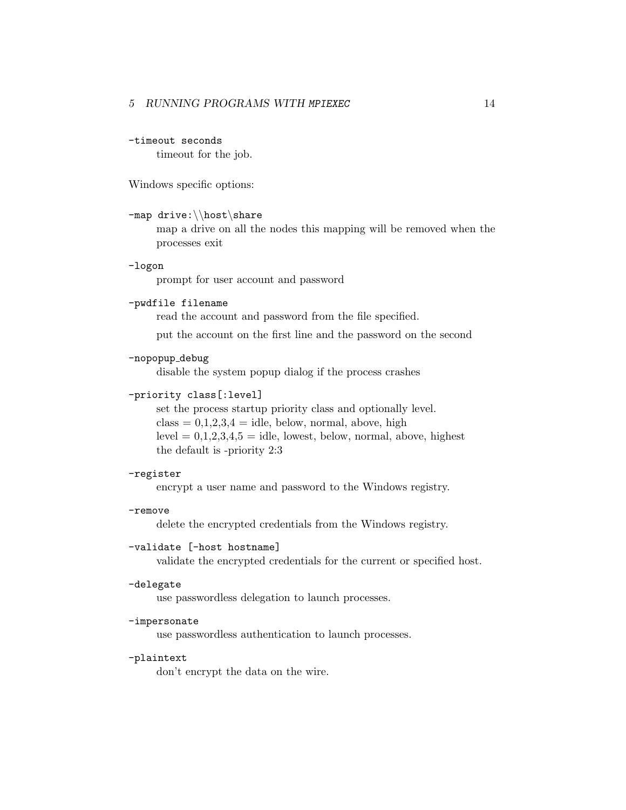### -timeout seconds

timeout for the job.

Windows specific options:

### -map drive:\\host\share

map a drive on all the nodes this mapping will be removed when the processes exit

#### -logon

prompt for user account and password

## -pwdfile filename

read the account and password from the file specified.

put the account on the first line and the password on the second

### -nopopup\_debug

disable the system popup dialog if the process crashes

## -priority class[:level]

set the process startup priority class and optionally level.  $class = 0,1,2,3,4 = id$ le, below, normal, above, high  $level = 0,1,2,3,4,5 = idle, lowest, below, normal, above, highest$ the default is -priority 2:3

#### -register

encrypt a user name and password to the Windows registry.

### -remove

delete the encrypted credentials from the Windows registry.

### -validate [-host hostname]

validate the encrypted credentials for the current or specified host.

### -delegate

use passwordless delegation to launch processes.

#### -impersonate

use passwordless authentication to launch processes.

### -plaintext

don't encrypt the data on the wire.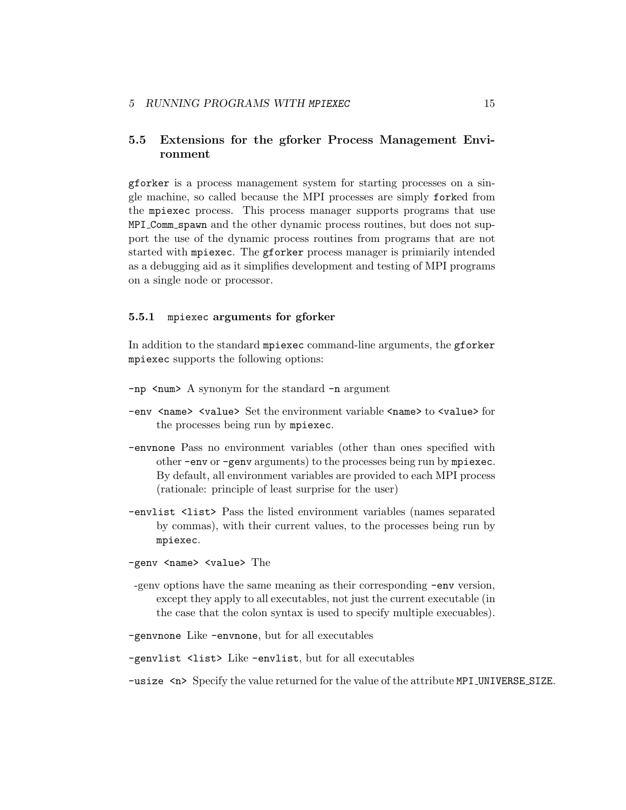## <span id="page-19-0"></span>5.5 Extensions for the gforker Process Management Environment

gforker is a process management system for starting processes on a single machine, so called because the MPI processes are simply forked from the mpiexec process. This process manager supports programs that use MPI Comm spawn and the other dynamic process routines, but does not support the use of the dynamic process routines from programs that are not started with mpiexec. The gforker process manager is primiarily intended as a debugging aid as it simplifies development and testing of MPI programs on a single node or processor.

### 5.5.1 mpiexec arguments for gforker

In addition to the standard mpiexec command-line arguments, the gforker mpiexec supports the following options:

- $-\text{np}$  <num> A synonym for the standard  $-\text{n}$  argument
- -env <name> <value> Set the environment variable <name> to <value> for the processes being run by mpiexec.
- -envnone Pass no environment variables (other than ones specified with other -env or -genv arguments) to the processes being run by mpiexec. By default, all environment variables are provided to each MPI process (rationale: principle of least surprise for the user)
- -envlist <list> Pass the listed environment variables (names separated by commas), with their current values, to the processes being run by mpiexec.
- -genv <name> <value> The
- -genv options have the same meaning as their corresponding -env version, except they apply to all executables, not just the current executable (in the case that the colon syntax is used to specify multiple execuables).
- -genvnone Like -envnone, but for all executables
- -genvlist <list> Like -envlist, but for all executables
- -usize <n> Specify the value returned for the value of the attribute MPI UNIVERSE SIZE.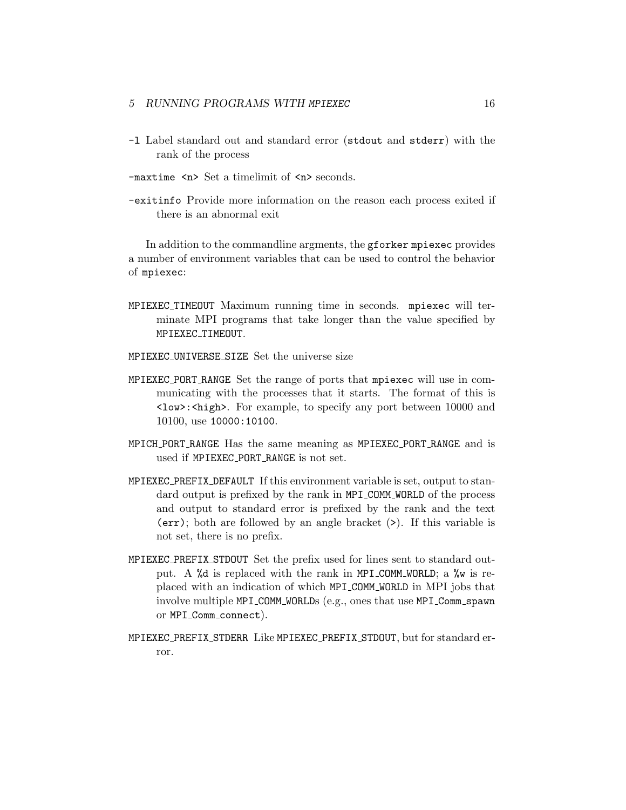- -l Label standard out and standard error (stdout and stderr) with the rank of the process
- -maxtime <n> Set a timelimit of <n> seconds.
- -exitinfo Provide more information on the reason each process exited if there is an abnormal exit

In addition to the commandline argments, the gforker mpiexec provides a number of environment variables that can be used to control the behavior of mpiexec:

- MPIEXEC TIMEOUT Maximum running time in seconds. mpiexec will terminate MPI programs that take longer than the value specified by MPIEXEC TIMEOUT.
- MPIEXEC UNIVERSE SIZE Set the universe size
- MPIEXEC PORT RANGE Set the range of ports that mpiexec will use in communicating with the processes that it starts. The format of this is <low>:<high>. For example, to specify any port between 10000 and 10100, use 10000:10100.
- MPICH PORT RANGE Has the same meaning as MPIEXEC PORT RANGE and is used if MPIEXEC PORT RANGE is not set.
- MPIEXEC PREFIX DEFAULT If this environment variable is set, output to standard output is prefixed by the rank in MPI COMM WORLD of the process and output to standard error is prefixed by the rank and the text (err); both are followed by an angle bracket (>). If this variable is not set, there is no prefix.
- MPIEXEC PREFIX STDOUT Set the prefix used for lines sent to standard output. A %d is replaced with the rank in MPI\_COMM\_WORLD; a %w is replaced with an indication of which MPI COMM WORLD in MPI jobs that involve multiple MPI COMM WORLDs (e.g., ones that use MPI Comm spawn or MPI Comm connect).
- MPIEXEC PREFIX STDERR Like MPIEXEC PREFIX STDOUT, but for standard error.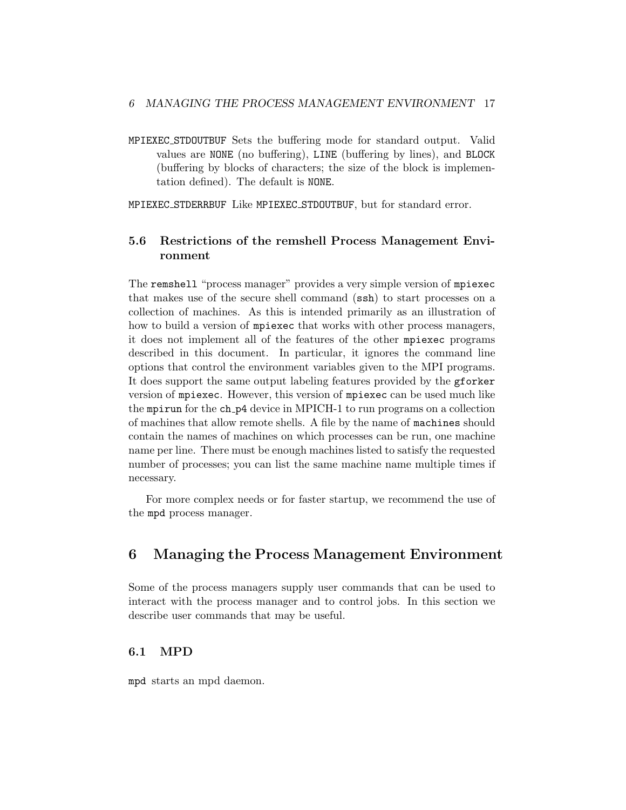<span id="page-21-0"></span>MPIEXEC STDOUTBUF Sets the buffering mode for standard output. Valid values are NONE (no buffering), LINE (buffering by lines), and BLOCK (buffering by blocks of characters; the size of the block is implementation defined). The default is NONE.

MPIEXEC STDERRBUF Like MPIEXEC STDOUTBUF, but for standard error.

## 5.6 Restrictions of the remshell Process Management Environment

The remshell "process manager" provides a very simple version of mpiexec that makes use of the secure shell command (ssh) to start processes on a collection of machines. As this is intended primarily as an illustration of how to build a version of mpiexec that works with other process managers, it does not implement all of the features of the other mpiexec programs described in this document. In particular, it ignores the command line options that control the environment variables given to the MPI programs. It does support the same output labeling features provided by the gforker version of mpiexec. However, this version of mpiexec can be used much like the mpirun for the ch p4 device in MPICH-1 to run programs on a collection of machines that allow remote shells. A file by the name of machines should contain the names of machines on which processes can be run, one machine name per line. There must be enough machines listed to satisfy the requested number of processes; you can list the same machine name multiple times if necessary.

For more complex needs or for faster startup, we recommend the use of the mpd process manager.

## 6 Managing the Process Management Environment

Some of the process managers supply user commands that can be used to interact with the process manager and to control jobs. In this section we describe user commands that may be useful.

## 6.1 MPD

mpd starts an mpd daemon.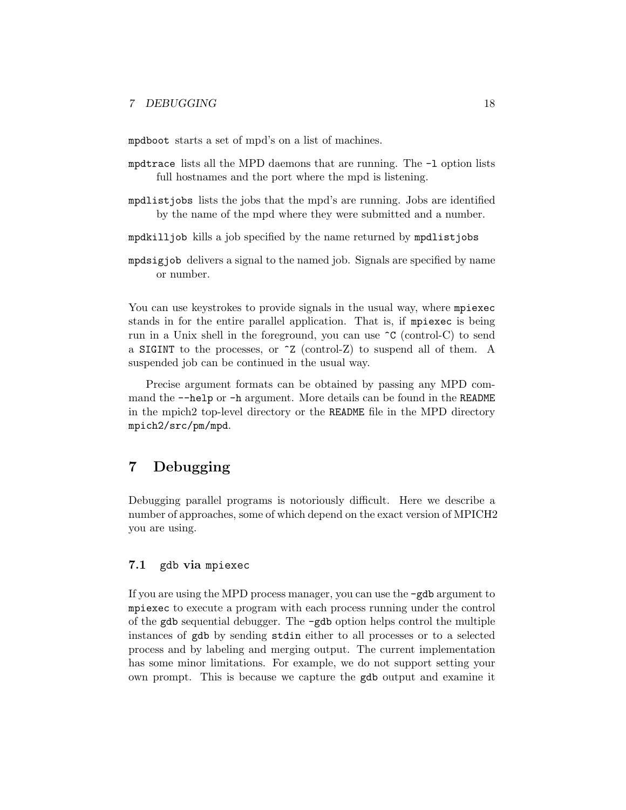<span id="page-22-0"></span>mpdboot starts a set of mpd's on a list of machines.

- mpdtrace lists all the MPD daemons that are running. The -l option lists full hostnames and the port where the mpd is listening.
- mpdlistjobs lists the jobs that the mpd's are running. Jobs are identified by the name of the mpd where they were submitted and a number.
- mpdkilljob kills a job specified by the name returned by mpdlistjobs
- mpdsigjob delivers a signal to the named job. Signals are specified by name or number.

You can use keystrokes to provide signals in the usual way, where mpiexec stands in for the entire parallel application. That is, if mpiexec is being run in a Unix shell in the foreground, you can use ^C (control-C) to send a SIGINT to the processes, or ^Z (control-Z) to suspend all of them. A suspended job can be continued in the usual way.

Precise argument formats can be obtained by passing any MPD command the  $-\text{help}$  or  $-\text{h}$  argument. More details can be found in the README in the mpich2 top-level directory or the README file in the MPD directory mpich2/src/pm/mpd.

## 7 Debugging

Debugging parallel programs is notoriously difficult. Here we describe a number of approaches, some of which depend on the exact version of MPICH2 you are using.

## 7.1 gdb via mpiexec

If you are using the MPD process manager, you can use the -gdb argument to mpiexec to execute a program with each process running under the control of the gdb sequential debugger. The -gdb option helps control the multiple instances of gdb by sending stdin either to all processes or to a selected process and by labeling and merging output. The current implementation has some minor limitations. For example, we do not support setting your own prompt. This is because we capture the gdb output and examine it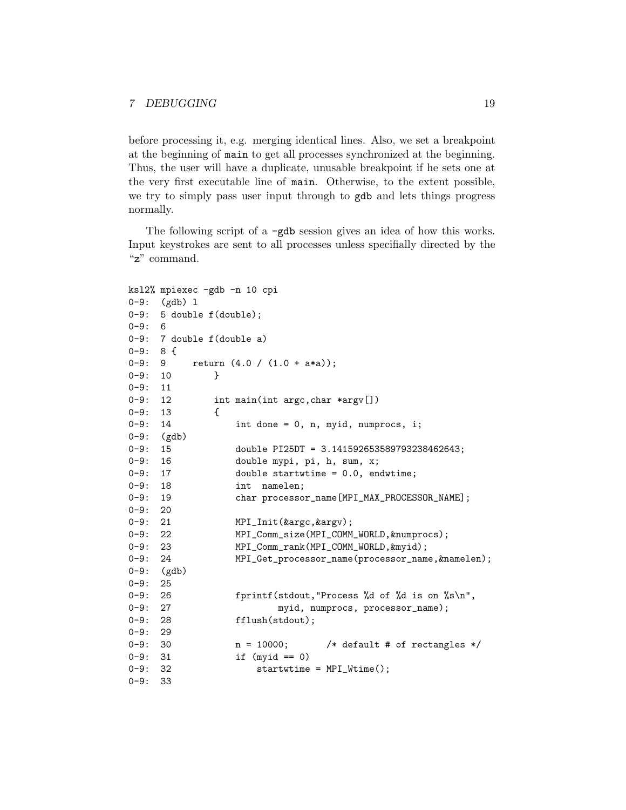before processing it, e.g. merging identical lines. Also, we set a breakpoint at the beginning of main to get all processes synchronized at the beginning. Thus, the user will have a duplicate, unusable breakpoint if he sets one at the very first executable line of main. Otherwise, to the extent possible, we try to simply pass user input through to gdb and lets things progress normally.

The following script of a  $-gdb$  session gives an idea of how this works. Input keystrokes are sent to all processes unless specifially directed by the "z" command.

```
ksl2% mpiexec -gdb -n 10 cpi
0-9: (gdb) l
0-9: 5 double f(double);
0-9: 6
0-9: 7 double f(double a)
0-9: 8 {
0-9: 9 return (4.0 / (1.0 + a*a));
0-9: 10 }
0-9: 11
0-9: 12 int main(int argc, char *argv[])
0-9: 13 {
0-9: 14 int done = 0, n, myid, numprocs, i;
0-9: (gdb)
0-9: 15 double PI25DT = 3.141592653589793238462643;
0-9: 16 double mypi, pi, h, sum, x;
0-9: 17 double startwtime = 0.0, endwtime;
0-9: 18 int namelen;
0-9: 19 char processor_name[MPI_MAX_PROCESSOR_NAME];
0-9: 20
0-9: 21 MPI_Init(&argc, &argv);
0-9: 22 MPI_Comm_size(MPI_COMM_WORLD, &numprocs);
0-9: 23 MPI_Comm_rank(MPI_COMM_WORLD, &myid);
0-9: 24 MPI_Get_processor_name(processor_name,&namelen);
0-9: (gdb)
0-9: 25
0-9: 26 fprintf(stdout, "Process %d of %d is on %s\n",
0-9: 27 myid, numprocs, processor_name);
0-9: 28 fflush(stdout);
0-9: 290-9: 30 n = 10000; /* default # of rectangles */0-9: 31 if (myid == 0)
0-9: 32 startwtime = MPI_Wtime();
0-9: 33
```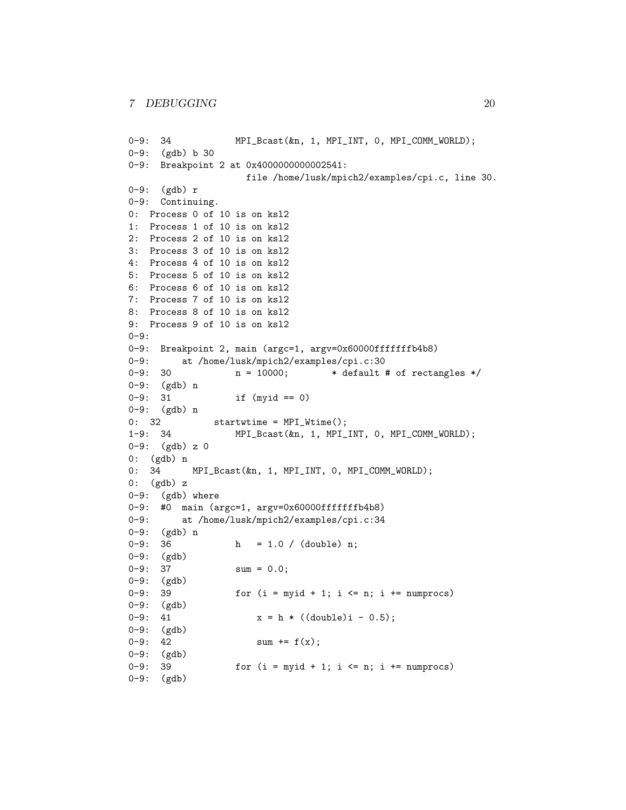```
0-9: 34 MPI_Bcast(&n, 1, MPI_INT, 0, MPI_COMM_WORLD);
0-9: (gdb) b 30
0-9: Breakpoint 2 at 0x4000000000002541:
                   file /home/lusk/mpich2/examples/cpi.c, line 30.
0-9: (gdb) r
0-9: Continuing.
0: Process 0 of 10 is on ksl2
1: Process 1 of 10 is on ksl2
2: Process 2 of 10 is on ksl2
3: Process 3 of 10 is on ksl2
4: Process 4 of 10 is on ksl2
5: Process 5 of 10 is on ksl2
6: Process 6 of 10 is on ksl2
7: Process 7 of 10 is on ksl2
8: Process 8 of 10 is on ksl2
9: Process 9 of 10 is on ksl2
0 - 9:0-9: Breakpoint 2, main (argc=1, argv=0x60000fffffffb4b8)
0-9: at /home/lusk/mpich2/examples/cpi.c:30
0-9: 30 n = 10000; * default # of rectangles */
0-9: (gdb) n
0-9: 31 if (myid == 0)
0-9: (gdb) n
0: 32 startwtime = MPI_Wtime();
1-9: 34 MPI_Bcast(&n, 1, MPI_INT, 0, MPI_COMM_WORLD);
0-9: (gdb) z 0
0: (gdb) n
0: 34 MPI_Bcast(&n, 1, MPI_INT, 0, MPI_COMM_WORLD);
0: (gdb) z
0-9: (gdb) where
0-9: #0 main (argc=1, argv=0x60000fffffffb4b8)
0-9: at /home/lusk/mpich2/examples/cpi.c:34
0-9: (gdb) n
0-9: 36 h = 1.0 / (double) n;
0-9: (gdb)
0-9: 37 sum = 0.0;
0-9: (gdb)
0-9: 39 for (i = myid + 1; i \le n; i += numprocess)0-9: (gdb)
0-9: 41 x = h * ((double)i - 0.5);0-9: (gdb)
0-9: 42 sum + = f(x);
0-9: (gdb)
0-9: 39 for (i = myid + 1; i \le n; i += numprocess)0-9: (gdb)
```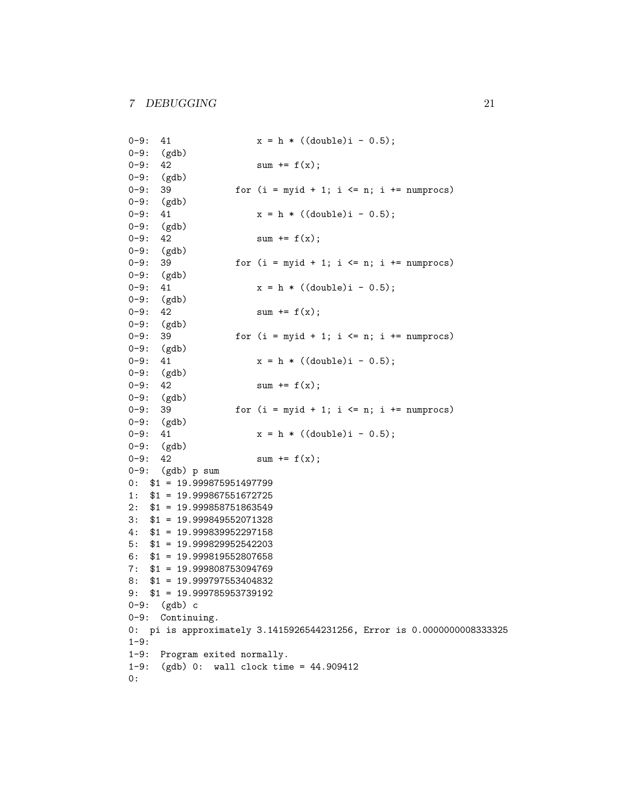0-9: 41  $x = h * ((double)i - 0.5);$ 0-9: (gdb) 0-9: 42  $sum + f(x)$ ; 0-9: (gdb) 0-9: 39 for  $(i = myid + 1; i \le n; i += numprocess)$ 0-9: (gdb) 0-9: 41  $x = h * ((double)i - 0.5);$ 0-9: (gdb)  $0-9: 42$  sum  $+= f(x);$ 0-9: (gdb) 0-9: 39 for  $(i = myid + 1; i \le n; i += numprocs)$ 0-9: (gdb) 0-9: 41  $x = h * ((double)i - 0.5);$ 0-9: (gdb) 0-9: 42 sum  $+ = f(x)$ ; 0-9: (gdb) 0-9: 39 for  $(i = myid + 1; i \le n; i += numprocess)$ 0-9: (gdb) 0-9: 41  $x = h * ((double)i - 0.5);$ 0-9: (gdb) 0-9: 42 sum  $+= f(x);$ 0-9: (gdb) 0-9: 39 for  $(i = myid + 1; i \le n; i += numprocess)$ 0-9: (gdb) 0-9: 41  $x = h * ((double)i - 0.5);$ 0-9: (gdb)  $0-9: 42$  sum  $+= f(x);$ 0-9: (gdb) p sum 0: \$1 = 19.999875951497799 1: \$1 = 19.999867551672725 2: \$1 = 19.999858751863549 3: \$1 = 19.999849552071328 4: \$1 = 19.999839952297158 5: \$1 = 19.999829952542203 6: \$1 = 19.999819552807658 7: \$1 = 19.999808753094769 8: \$1 = 19.999797553404832 9: \$1 = 19.999785953739192 0-9: (gdb) c 0-9: Continuing. 0: pi is approximately 3.1415926544231256, Error is 0.0000000008333325 1-9: 1-9: Program exited normally. 1-9: (gdb) 0: wall clock time = 44.909412 0: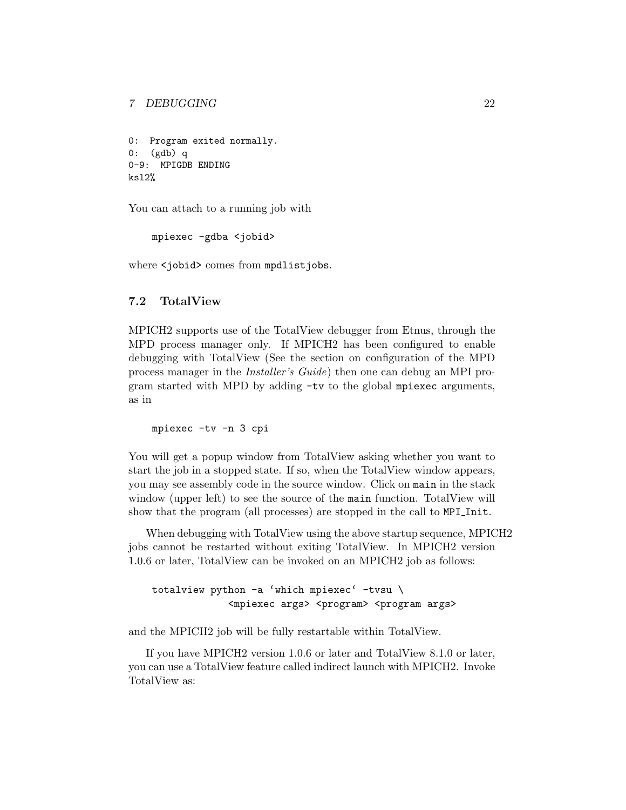```
0: Program exited normally.
0: (gdb) q
0-9: MPIGDB ENDING
ksl2%
```
You can attach to a running job with

mpiexec -gdba <jobid>

where <jobid> comes from mpdlistjobs.

## 7.2 TotalView

MPICH2 supports use of the TotalView debugger from Etnus, through the MPD process manager only. If MPICH2 has been configured to enable debugging with TotalView (See the section on configuration of the MPD process manager in the Installer's Guide) then one can debug an MPI program started with MPD by adding -tv to the global mpiexec arguments, as in

mpiexec -tv -n 3 cpi

You will get a popup window from TotalView asking whether you want to start the job in a stopped state. If so, when the TotalView window appears, you may see assembly code in the source window. Click on main in the stack window (upper left) to see the source of the main function. TotalView will show that the program (all processes) are stopped in the call to MPI Init.

When debugging with TotalView using the above startup sequence, MPICH2 jobs cannot be restarted without exiting TotalView. In MPICH2 version 1.0.6 or later, TotalView can be invoked on an MPICH2 job as follows:

totalview python -a 'which mpiexec' -tvsu \ <mpiexec args> <program> <program args>

and the MPICH2 job will be fully restartable within TotalView.

If you have MPICH2 version 1.0.6 or later and TotalView 8.1.0 or later, you can use a TotalView feature called indirect launch with MPICH2. Invoke TotalView as: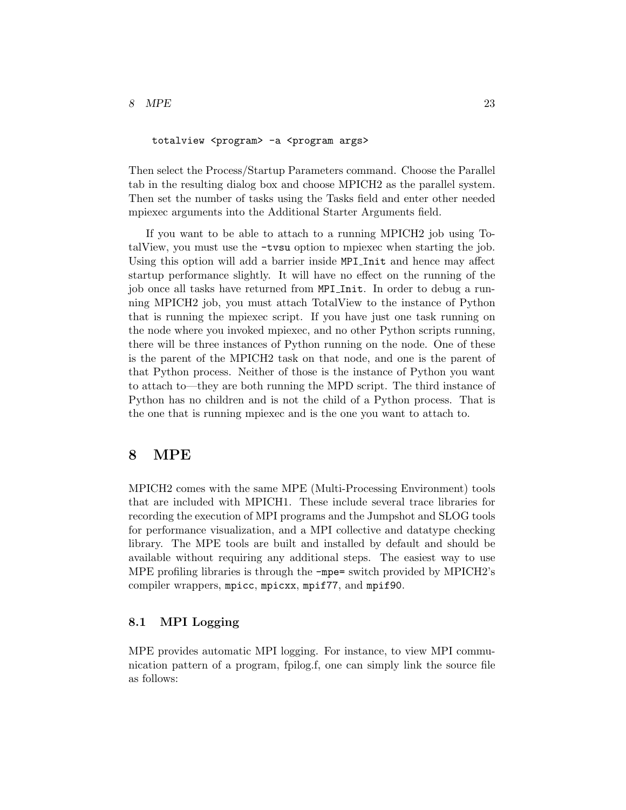<span id="page-27-0"></span>8 MPE 23

totalview <program> -a <program args>

Then select the Process/Startup Parameters command. Choose the Parallel tab in the resulting dialog box and choose MPICH2 as the parallel system. Then set the number of tasks using the Tasks field and enter other needed mpiexec arguments into the Additional Starter Arguments field.

If you want to be able to attach to a running MPICH2 job using TotalView, you must use the -tvsu option to mpiexec when starting the job. Using this option will add a barrier inside MPI<sub>-Init</sub> and hence may affect startup performance slightly. It will have no effect on the running of the job once all tasks have returned from MPI Init. In order to debug a running MPICH2 job, you must attach TotalView to the instance of Python that is running the mpiexec script. If you have just one task running on the node where you invoked mpiexec, and no other Python scripts running, there will be three instances of Python running on the node. One of these is the parent of the MPICH2 task on that node, and one is the parent of that Python process. Neither of those is the instance of Python you want to attach to—they are both running the MPD script. The third instance of Python has no children and is not the child of a Python process. That is the one that is running mpiexec and is the one you want to attach to.

## 8 MPE

MPICH2 comes with the same MPE (Multi-Processing Environment) tools that are included with MPICH1. These include several trace libraries for recording the execution of MPI programs and the Jumpshot and SLOG tools for performance visualization, and a MPI collective and datatype checking library. The MPE tools are built and installed by default and should be available without requiring any additional steps. The easiest way to use MPE profiling libraries is through the -mpe= switch provided by MPICH2's compiler wrappers, mpicc, mpicxx, mpif77, and mpif90.

## 8.1 MPI Logging

MPE provides automatic MPI logging. For instance, to view MPI communication pattern of a program, fpilog.f, one can simply link the source file as follows: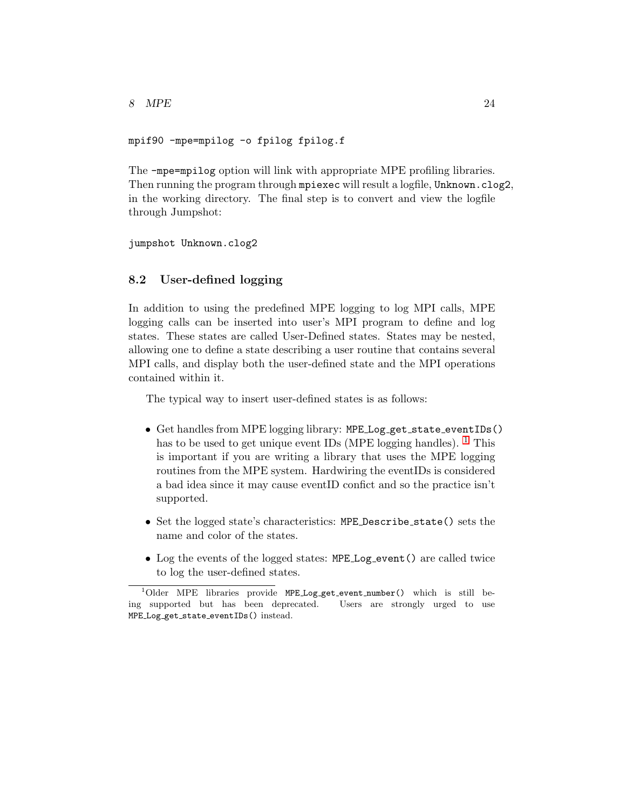<span id="page-28-0"></span>8 MPE  $^{24}$ 

```
mpif90 -mpe=mpilog -o fpilog fpilog.f
```
The -mpe=mpilog option will link with appropriate MPE profiling libraries. Then running the program through mpiexec will result a logfile, Unknown.clog2, in the working directory. The final step is to convert and view the logfile through Jumpshot:

jumpshot Unknown.clog2

## 8.2 User-defined logging

In addition to using the predefined MPE logging to log MPI calls, MPE logging calls can be inserted into user's MPI program to define and log states. These states are called User-Defined states. States may be nested, allowing one to define a state describing a user routine that contains several MPI calls, and display both the user-defined state and the MPI operations contained within it.

The typical way to insert user-defined states is as follows:

- Get handles from MPE logging library: MPE Log\_get\_state\_eventIDs() has to be used to get unique event IDs (MPE logging handles).  $<sup>1</sup>$  This</sup> is important if you are writing a library that uses the MPE logging routines from the MPE system. Hardwiring the eventIDs is considered a bad idea since it may cause eventID confict and so the practice isn't supported.
- Set the logged state's characteristics: MPE Describe state() sets the name and color of the states.
- Log the events of the logged states: MPE Log event () are called twice to log the user-defined states.

<sup>1</sup>Older MPE libraries provide MPE Log get event number() which is still being supported but has been deprecated. Users are strongly urged to use MPE Log get state eventIDs() instead.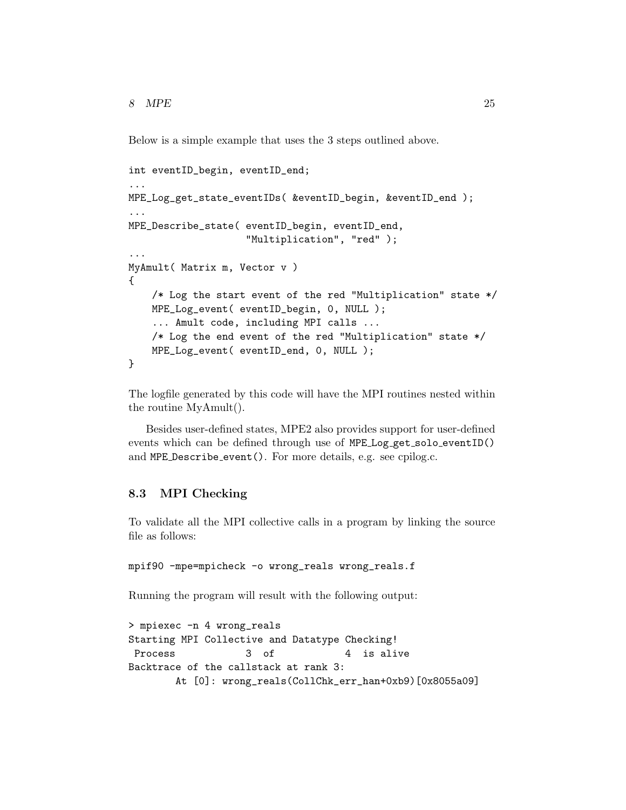<span id="page-29-0"></span>Below is a simple example that uses the 3 steps outlined above.

```
int eventID_begin, eventID_end;
...
MPE_Log_get_state_eventIDs( &eventID_begin, &eventID_end );
...
MPE_Describe_state( eventID_begin, eventID_end,
                    "Multiplication", "red" );
...
MyAmult( Matrix m, Vector v )
{
    /* Log the start event of the red "Multiplication" state */
    MPE_Log_event( eventID_begin, 0, NULL );
    ... Amult code, including MPI calls ...
    /* Log the end event of the red "Multiplication" state */
    MPE_Log_event( eventID_end, 0, NULL );
}
```
The logfile generated by this code will have the MPI routines nested within the routine MyAmult().

Besides user-defined states, MPE2 also provides support for user-defined events which can be defined through use of MPE Log get solo eventID() and MPE Describe event(). For more details, e.g. see cpilog.c.

## 8.3 MPI Checking

To validate all the MPI collective calls in a program by linking the source file as follows:

```
mpif90 -mpe=mpicheck -o wrong_reals wrong_reals.f
```
Running the program will result with the following output:

```
> mpiexec -n 4 wrong_reals
Starting MPI Collective and Datatype Checking!
Process 3 of 4 is alive
Backtrace of the callstack at rank 3:
       At [0]: wrong_reals(CollChk_err_han+0xb9)[0x8055a09]
```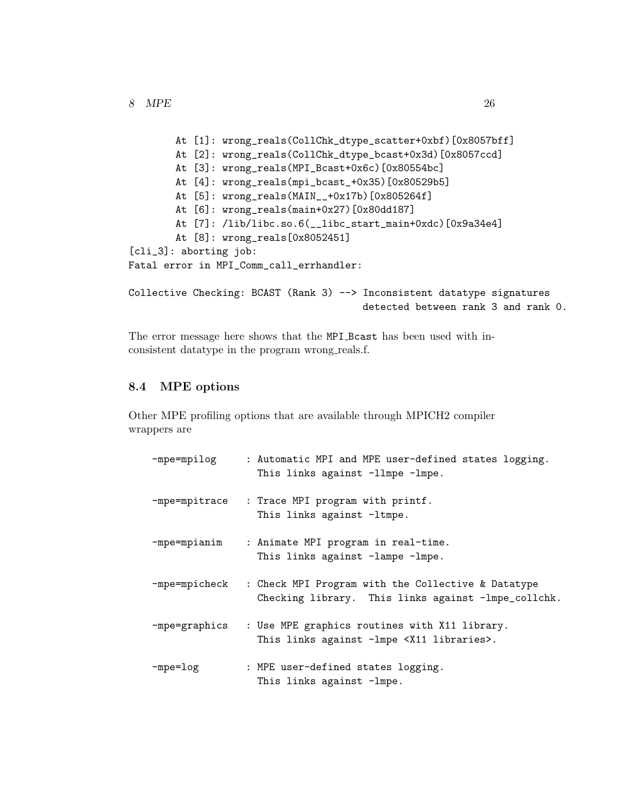```
At [1]: wrong_reals(CollChk_dtype_scatter+0xbf)[0x8057bff]
        At [2]: wrong_reals(CollChk_dtype_bcast+0x3d)[0x8057ccd]
        At [3]: wrong_reals(MPI_Bcast+0x6c)[0x80554bc]
        At [4]: wrong_reals(mpi_bcast_+0x35)[0x80529b5]
        At [5]: wrong_reals(MAIN__+0x17b)[0x805264f]
        At [6]: wrong_reals(main+0x27)[0x80dd187]
        At [7]: /lib/libc.so.6(__libc_start_main+0xdc)[0x9a34e4]
        At [8]: wrong_reals[0x8052451]
[cli_3]: aborting job:
Fatal error in MPI_Comm_call_errhandler:
```

```
Collective Checking: BCAST (Rank 3) --> Inconsistent datatype signatures
                                        detected between rank 3 and rank 0.
```
The error message here shows that the MPI Bcast has been used with inconsistent datatype in the program wrong reals.f.

### 8.4 MPE options

Other MPE profiling options that are available through MPICH2 compiler wrappers are

| -mpe=mpilog       | : Automatic MPI and MPE user-defined states logging.<br>This links against -llmpe -lmpe.                  |
|-------------------|-----------------------------------------------------------------------------------------------------------|
| $-$ mpe=mpitrace  | : Trace MPI program with printf.<br>This links against -ltmpe.                                            |
| -mpe=mpianim      | : Animate MPI program in real-time.<br>This links against -lampe -lmpe.                                   |
| $-$ mpe=mpicheck  | : Check MPI Program with the Collective & Datatype<br>Checking library. This links against -lmpe_collchk. |
| $-mpe = graphics$ | : Use MPE graphics routines with X11 library.<br>This links against -lmpe <x11 libraries="">.</x11>       |
| -mpe=log          | : MPE user-defined states logging.<br>This links against -lmpe.                                           |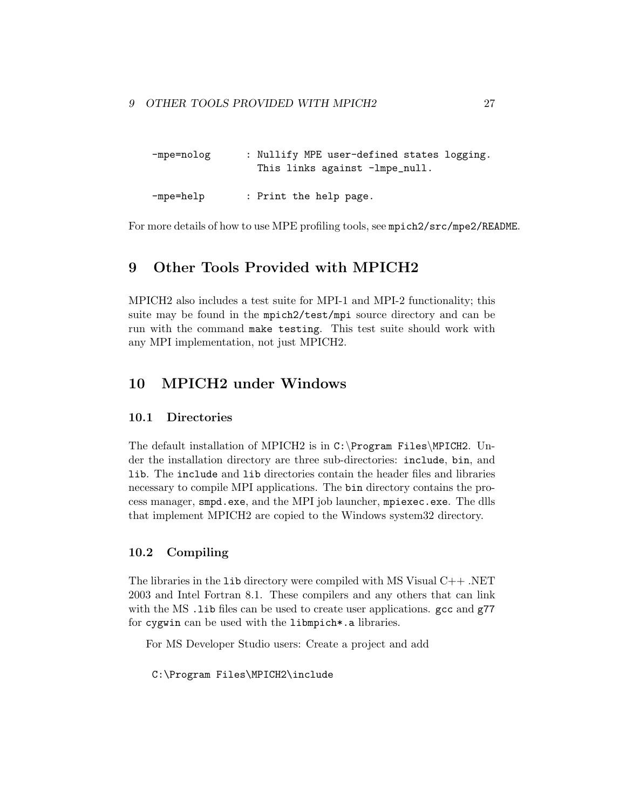<span id="page-31-0"></span>-mpe=nolog : Nullify MPE user-defined states logging. This links against -lmpe\_null. -mpe=help : Print the help page.

For more details of how to use MPE profiling tools, see mpich2/src/mpe2/README.

## 9 Other Tools Provided with MPICH2

MPICH2 also includes a test suite for MPI-1 and MPI-2 functionality; this suite may be found in the mpich2/test/mpi source directory and can be run with the command make testing. This test suite should work with any MPI implementation, not just MPICH2.

## 10 MPICH2 under Windows

### 10.1 Directories

The default installation of MPICH2 is in C:\Program Files\MPICH2. Under the installation directory are three sub-directories: include, bin, and lib. The include and lib directories contain the header files and libraries necessary to compile MPI applications. The bin directory contains the process manager, smpd.exe, and the MPI job launcher, mpiexec.exe. The dlls that implement MPICH2 are copied to the Windows system32 directory.

## 10.2 Compiling

The libraries in the lib directory were compiled with MS Visual C++ .NET 2003 and Intel Fortran 8.1. These compilers and any others that can link with the MS. Lib files can be used to create user applications.  $\gcd$  and  $\gcd$   $\gcd$ for cygwin can be used with the libmpich\*.a libraries.

For MS Developer Studio users: Create a project and add

C:\Program Files\MPICH2\include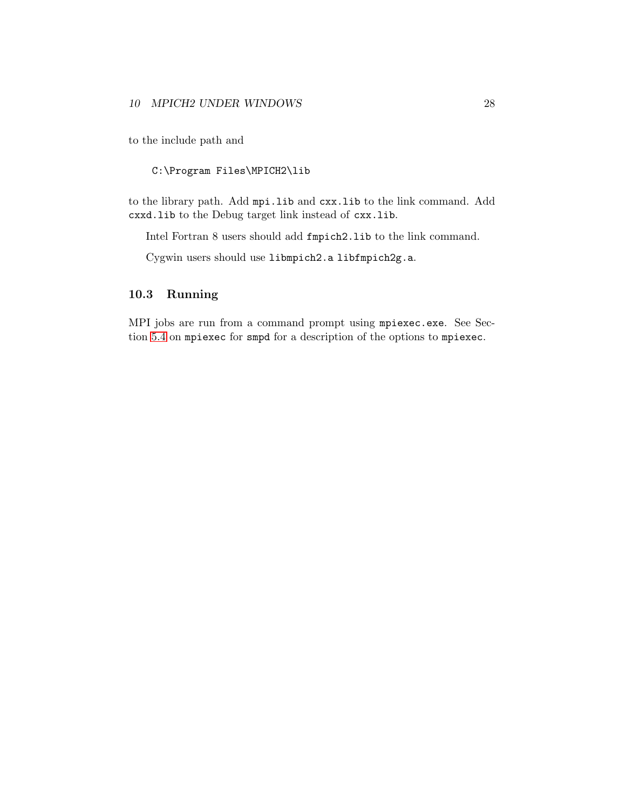<span id="page-32-0"></span>to the include path and

C:\Program Files\MPICH2\lib

to the library path. Add mpi.lib and cxx.lib to the link command. Add cxxd.lib to the Debug target link instead of cxx.lib.

Intel Fortran 8 users should add fmpich2.lib to the link command.

Cygwin users should use libmpich2.a libfmpich2g.a.

## 10.3 Running

MPI jobs are run from a command prompt using mpiexec.exe. See Section [5.4](#page-16-0) on mpiexec for smpd for a description of the options to mpiexec.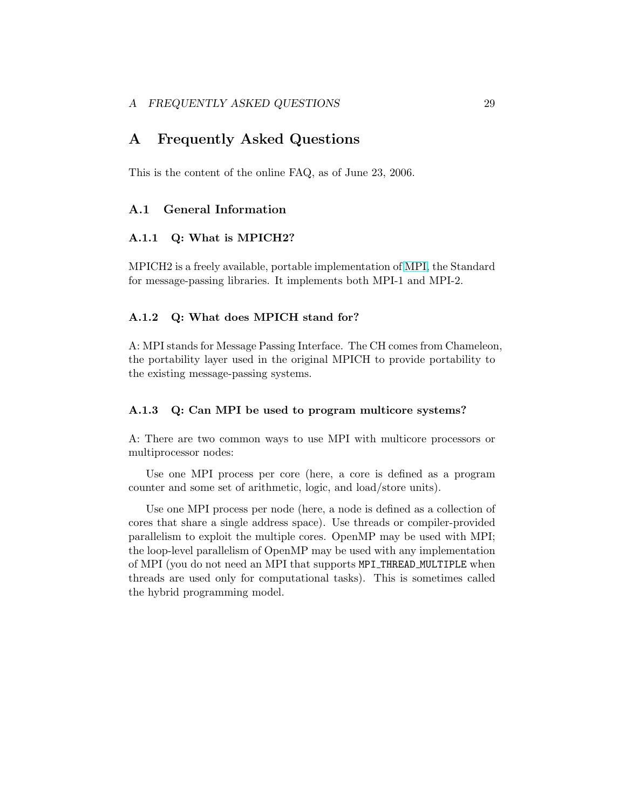## <span id="page-33-0"></span>A FREQUENTLY ASKED QUESTIONS 29

## A Frequently Asked Questions

This is the content of the online FAQ, as of June 23, 2006.

## A.1 General Information

### A.1.1 Q: What is MPICH2?

MPICH2 is a freely available, portable implementation of [MPI,](http://www.mpi-forum.org) the Standard for message-passing libraries. It implements both MPI-1 and MPI-2.

### A.1.2 Q: What does MPICH stand for?

A: MPI stands for Message Passing Interface. The CH comes from Chameleon, the portability layer used in the original MPICH to provide portability to the existing message-passing systems.

### A.1.3 Q: Can MPI be used to program multicore systems?

A: There are two common ways to use MPI with multicore processors or multiprocessor nodes:

Use one MPI process per core (here, a core is defined as a program counter and some set of arithmetic, logic, and load/store units).

Use one MPI process per node (here, a node is defined as a collection of cores that share a single address space). Use threads or compiler-provided parallelism to exploit the multiple cores. OpenMP may be used with MPI; the loop-level parallelism of OpenMP may be used with any implementation of MPI (you do not need an MPI that supports MPI THREAD MULTIPLE when threads are used only for computational tasks). This is sometimes called the hybrid programming model.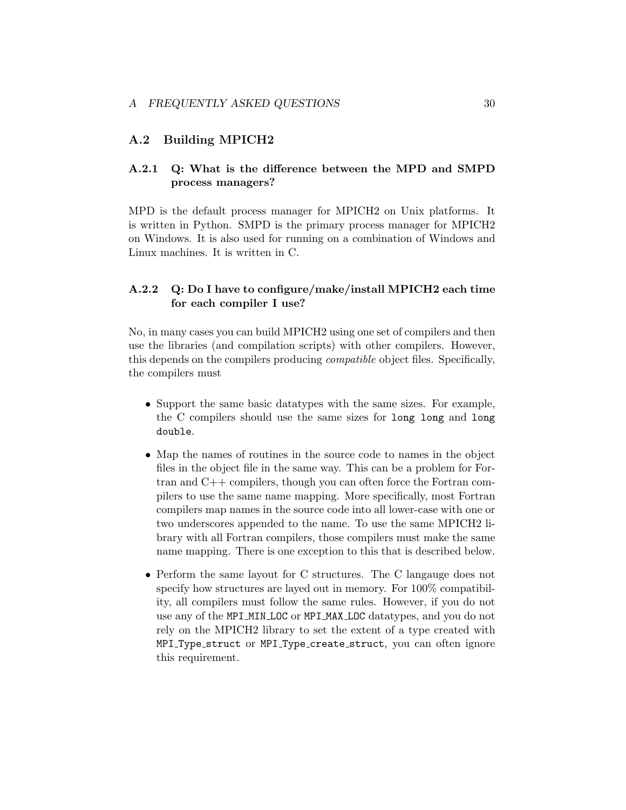## <span id="page-34-0"></span>A.2 Building MPICH2

## A.2.1 Q: What is the difference between the MPD and SMPD process managers?

MPD is the default process manager for MPICH2 on Unix platforms. It is written in Python. SMPD is the primary process manager for MPICH2 on Windows. It is also used for running on a combination of Windows and Linux machines. It is written in C.

## A.2.2 Q: Do I have to configure/make/install MPICH2 each time for each compiler I use?

No, in many cases you can build MPICH2 using one set of compilers and then use the libraries (and compilation scripts) with other compilers. However, this depends on the compilers producing compatible object files. Specifically, the compilers must

- Support the same basic datatypes with the same sizes. For example, the C compilers should use the same sizes for long long and long double.
- Map the names of routines in the source code to names in the object files in the object file in the same way. This can be a problem for Fortran and C++ compilers, though you can often force the Fortran compilers to use the same name mapping. More specifically, most Fortran compilers map names in the source code into all lower-case with one or two underscores appended to the name. To use the same MPICH2 library with all Fortran compilers, those compilers must make the same name mapping. There is one exception to this that is described below.
- Perform the same layout for C structures. The C langauge does not specify how structures are layed out in memory. For 100% compatibility, all compilers must follow the same rules. However, if you do not use any of the MPI MIN LOC or MPI MAX LOC datatypes, and you do not rely on the MPICH2 library to set the extent of a type created with MPI Type struct or MPI Type create struct, you can often ignore this requirement.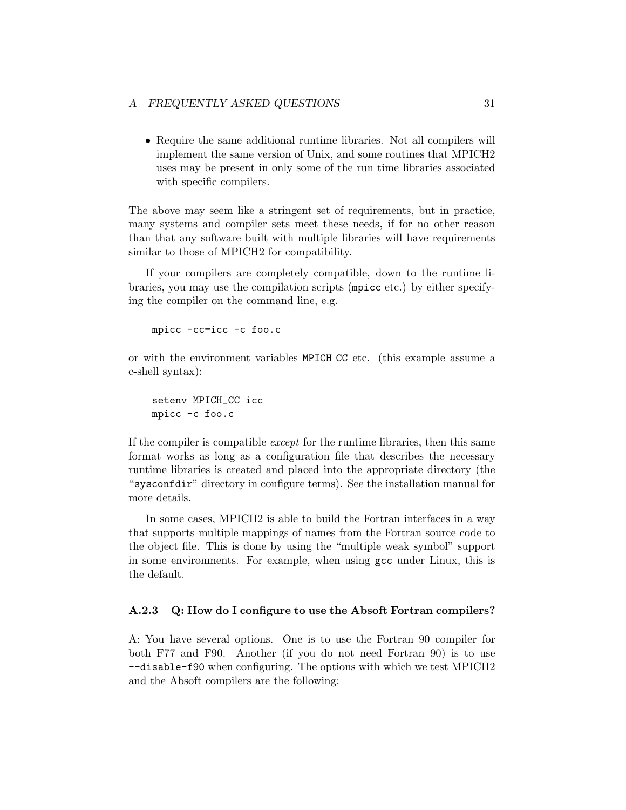<span id="page-35-0"></span>• Require the same additional runtime libraries. Not all compilers will implement the same version of Unix, and some routines that MPICH2 uses may be present in only some of the run time libraries associated with specific compilers.

The above may seem like a stringent set of requirements, but in practice, many systems and compiler sets meet these needs, if for no other reason than that any software built with multiple libraries will have requirements similar to those of MPICH2 for compatibility.

If your compilers are completely compatible, down to the runtime libraries, you may use the compilation scripts (mpicc etc.) by either specifying the compiler on the command line, e.g.

```
mpicc -cc=icc -c foo.c
```
or with the environment variables MPICH CC etc. (this example assume a c-shell syntax):

```
setenv MPICH_CC icc
mpicc -c foo.c
```
If the compiler is compatible except for the runtime libraries, then this same format works as long as a configuration file that describes the necessary runtime libraries is created and placed into the appropriate directory (the "sysconfdir" directory in configure terms). See the installation manual for more details.

In some cases, MPICH2 is able to build the Fortran interfaces in a way that supports multiple mappings of names from the Fortran source code to the object file. This is done by using the "multiple weak symbol" support in some environments. For example, when using gcc under Linux, this is the default.

### A.2.3 Q: How do I configure to use the Absoft Fortran compilers?

A: You have several options. One is to use the Fortran 90 compiler for both F77 and F90. Another (if you do not need Fortran 90) is to use --disable-f90 when configuring. The options with which we test MPICH2 and the Absoft compilers are the following: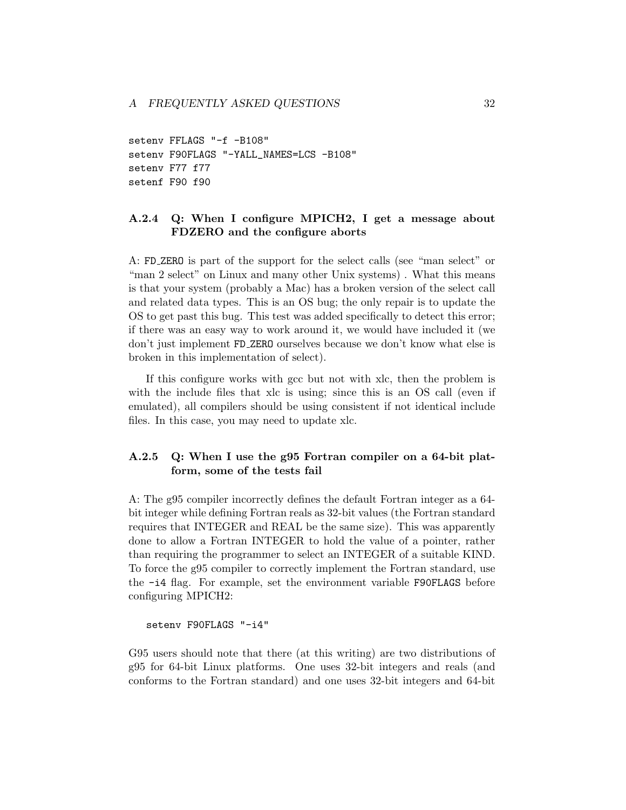```
setenv FFLAGS "-f -B108"
setenv F90FLAGS "-YALL_NAMES=LCS -B108"
setenv F77 f77
setenf F90 f90
```
## A.2.4 Q: When I configure MPICH2, I get a message about FDZERO and the configure aborts

A: FD ZERO is part of the support for the select calls (see "man select" or "man 2 select" on Linux and many other Unix systems). What this means is that your system (probably a Mac) has a broken version of the select call and related data types. This is an OS bug; the only repair is to update the OS to get past this bug. This test was added specifically to detect this error; if there was an easy way to work around it, we would have included it (we don't just implement FD ZERO ourselves because we don't know what else is broken in this implementation of select).

If this configure works with gcc but not with xlc, then the problem is with the include files that xlc is using; since this is an OS call (even if emulated), all compilers should be using consistent if not identical include files. In this case, you may need to update xlc.

## A.2.5 Q: When I use the g95 Fortran compiler on a 64-bit platform, some of the tests fail

A: The g95 compiler incorrectly defines the default Fortran integer as a 64 bit integer while defining Fortran reals as 32-bit values (the Fortran standard requires that INTEGER and REAL be the same size). This was apparently done to allow a Fortran INTEGER to hold the value of a pointer, rather than requiring the programmer to select an INTEGER of a suitable KIND. To force the g95 compiler to correctly implement the Fortran standard, use the -i4 flag. For example, set the environment variable F90FLAGS before configuring MPICH2:

#### setenv F90FLAGS "-i4"

G95 users should note that there (at this writing) are two distributions of g95 for 64-bit Linux platforms. One uses 32-bit integers and reals (and conforms to the Fortran standard) and one uses 32-bit integers and 64-bit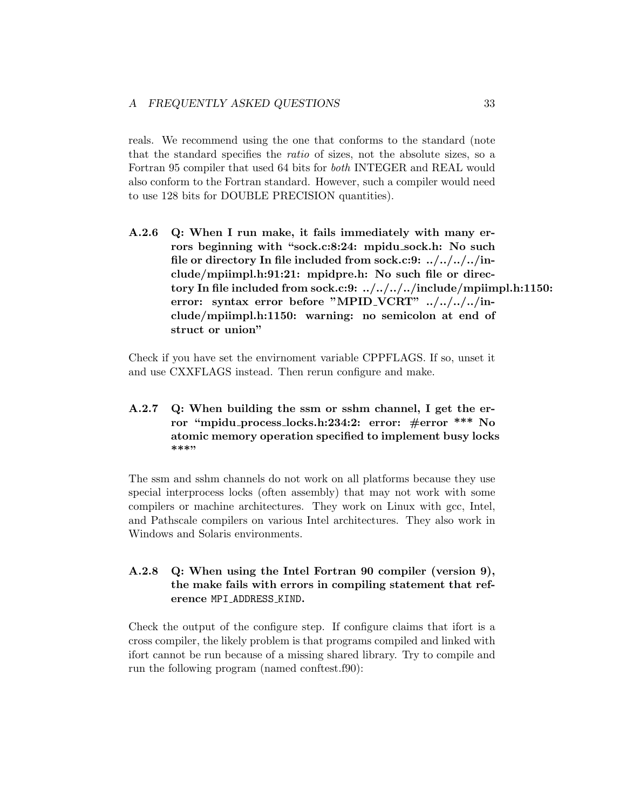<span id="page-37-0"></span>reals. We recommend using the one that conforms to the standard (note that the standard specifies the ratio of sizes, not the absolute sizes, so a Fortran 95 compiler that used 64 bits for both INTEGER and REAL would also conform to the Fortran standard. However, such a compiler would need to use 128 bits for DOUBLE PRECISION quantities).

A.2.6 Q: When I run make, it fails immediately with many errors beginning with "sock.c:8:24: mpidu sock.h: No such file or directory In file included from sock.c:9: ../../../../include/mpiimpl.h:91:21: mpidpre.h: No such file or directory In file included from sock.c:9: ../../../../include/mpiimpl.h:1150: error: syntax error before "MPID VCRT" ../../../../include/mpiimpl.h:1150: warning: no semicolon at end of struct or union"

Check if you have set the envirnoment variable CPPFLAGS. If so, unset it and use CXXFLAGS instead. Then rerun configure and make.

## A.2.7 Q: When building the ssm or sshm channel, I get the error "mpidu process locks.h:234:2: error: #error \*\*\* No atomic memory operation specified to implement busy locks \*\*\*"

The ssm and sshm channels do not work on all platforms because they use special interprocess locks (often assembly) that may not work with some compilers or machine architectures. They work on Linux with gcc, Intel, and Pathscale compilers on various Intel architectures. They also work in Windows and Solaris environments.

## A.2.8 Q: When using the Intel Fortran 90 compiler (version 9), the make fails with errors in compiling statement that reference MPI\_ADDRESS\_KIND.

Check the output of the configure step. If configure claims that ifort is a cross compiler, the likely problem is that programs compiled and linked with ifort cannot be run because of a missing shared library. Try to compile and run the following program (named conftest.f90):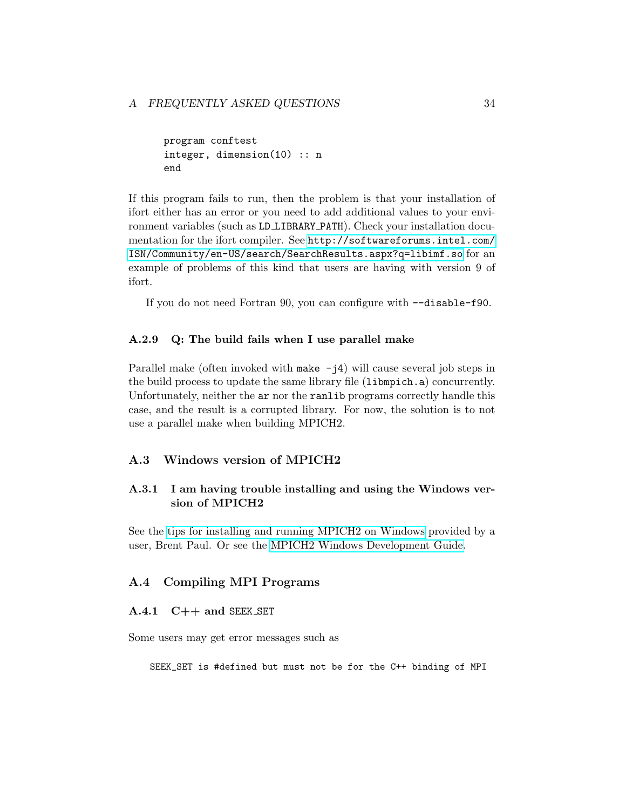```
program conftest
integer, dimension(10) :: n
end
```
If this program fails to run, then the problem is that your installation of ifort either has an error or you need to add additional values to your environment variables (such as LD LIBRARY PATH). Check your installation documentation for the ifort compiler. See [http://softwareforums.intel.com/](http://softwareforums.intel.com/ISN/Community/en-US/search/SearchResults.aspx?q=libimf.so) [ISN/Community/en-US/search/SearchResults.aspx?q=libimf.so](http://softwareforums.intel.com/ISN/Community/en-US/search/SearchResults.aspx?q=libimf.so) for an example of problems of this kind that users are having with version 9 of ifort.

If you do not need Fortran 90, you can configure with --disable-f90.

## A.2.9 Q: The build fails when I use parallel make

Parallel make (often invoked with make  $-j4$ ) will cause several job steps in the build process to update the same library file (libmpich.a) concurrently. Unfortunately, neither the ar nor the ranlib programs correctly handle this case, and the result is a corrupted library. For now, the solution is to not use a parallel make when building MPICH2.

## A.3 Windows version of MPICH2

## A.3.1 I am having trouble installing and using the Windows version of MPICH2

See the [tips for installing and running MPICH2 on Windows](http://www.mcs.anl.gov/mpi/mpich/downloads/windows-mpich2-tips.doc) provided by a user, Brent Paul. Or see the [MPICH2 Windows Development Guide.](http://www.mcs.anl.gov/mpi/mpich/downloads/mpich2-doc-windev.pdf)

## A.4 Compiling MPI Programs

### A.4.1 C++ and SEEK SET

Some users may get error messages such as

SEEK\_SET is #defined but must not be for the C++ binding of MPI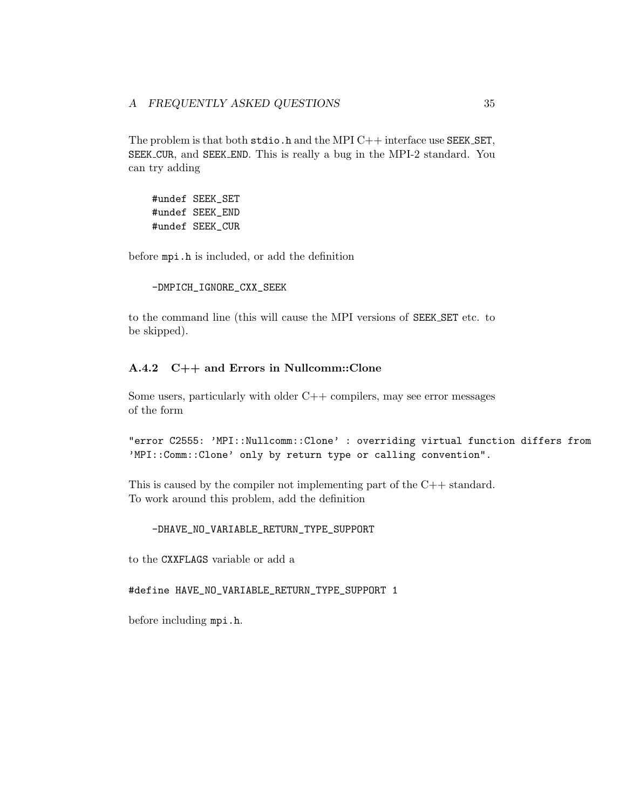<span id="page-39-0"></span>The problem is that both  $\text{stdio.h}$  and the MPI C++ interface use SEEK\_SET, SEEK CUR, and SEEK END. This is really a bug in the MPI-2 standard. You can try adding

#undef SEEK\_SET #undef SEEK\_END #undef SEEK\_CUR

before mpi.h is included, or add the definition

```
-DMPICH_IGNORE_CXX_SEEK
```
to the command line (this will cause the MPI versions of SEEK SET etc. to be skipped).

### A.4.2 C++ and Errors in Nullcomm::Clone

Some users, particularly with older C++ compilers, may see error messages of the form

"error C2555: 'MPI::Nullcomm::Clone' : overriding virtual function differs from 'MPI::Comm::Clone' only by return type or calling convention".

This is caused by the compiler not implementing part of the C++ standard. To work around this problem, add the definition

-DHAVE\_NO\_VARIABLE\_RETURN\_TYPE\_SUPPORT

to the CXXFLAGS variable or add a

#define HAVE\_NO\_VARIABLE\_RETURN\_TYPE\_SUPPORT 1

before including mpi.h.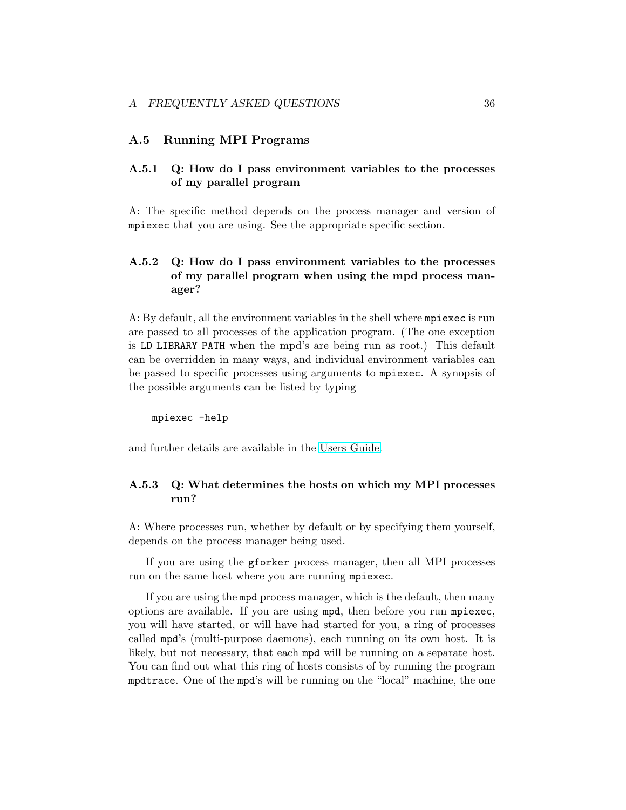### <span id="page-40-0"></span>A.5 Running MPI Programs

## A.5.1 Q: How do I pass environment variables to the processes of my parallel program

A: The specific method depends on the process manager and version of mpiexec that you are using. See the appropriate specific section.

## A.5.2 Q: How do I pass environment variables to the processes of my parallel program when using the mpd process manager?

A: By default, all the environment variables in the shell where mpiexec is run are passed to all processes of the application program. (The one exception is LD LIBRARY PATH when the mpd's are being run as root.) This default can be overridden in many ways, and individual environment variables can be passed to specific processes using arguments to mpiexec. A synopsis of the possible arguments can be listed by typing

```
mpiexec -help
```
and further details are available in the [Users Guide.](http://www-unix.mcs.anl.gov/mpi/mpich2/downloads/mpich2-doc-user.pdf)

## A.5.3 Q: What determines the hosts on which my MPI processes run?

A: Where processes run, whether by default or by specifying them yourself, depends on the process manager being used.

If you are using the gforker process manager, then all MPI processes run on the same host where you are running mpiexec.

If you are using the mpd process manager, which is the default, then many options are available. If you are using mpd, then before you run mpiexec, you will have started, or will have had started for you, a ring of processes called mpd's (multi-purpose daemons), each running on its own host. It is likely, but not necessary, that each mpd will be running on a separate host. You can find out what this ring of hosts consists of by running the program mpdtrace. One of the mpd's will be running on the "local" machine, the one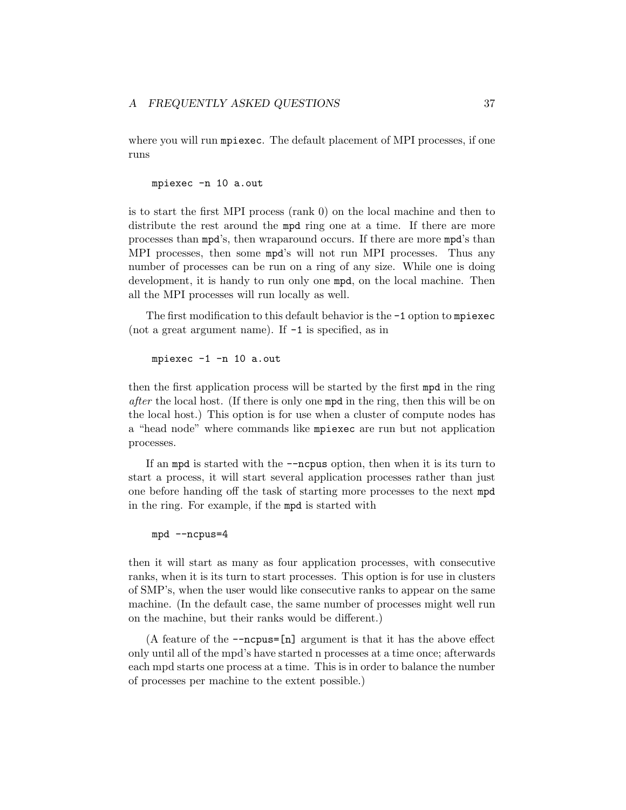where you will run mpiexec. The default placement of MPI processes, if one runs

mpiexec -n 10 a.out

is to start the first MPI process (rank 0) on the local machine and then to distribute the rest around the mpd ring one at a time. If there are more processes than mpd's, then wraparound occurs. If there are more mpd's than MPI processes, then some mpd's will not run MPI processes. Thus any number of processes can be run on a ring of any size. While one is doing development, it is handy to run only one mpd, on the local machine. Then all the MPI processes will run locally as well.

The first modification to this default behavior is the -1 option to mpiexec (not a great argument name). If  $-1$  is specified, as in

mpiexec -1 -n 10 a.out

then the first application process will be started by the first mpd in the ring after the local host. (If there is only one mpd in the ring, then this will be on the local host.) This option is for use when a cluster of compute nodes has a "head node" where commands like mpiexec are run but not application processes.

If an mpd is started with the --ncpus option, then when it is its turn to start a process, it will start several application processes rather than just one before handing off the task of starting more processes to the next mpd in the ring. For example, if the mpd is started with

mpd --ncpus=4

then it will start as many as four application processes, with consecutive ranks, when it is its turn to start processes. This option is for use in clusters of SMP's, when the user would like consecutive ranks to appear on the same machine. (In the default case, the same number of processes might well run on the machine, but their ranks would be different.)

(A feature of the  $-\text{ncpus}=[n]$  argument is that it has the above effect only until all of the mpd's have started n processes at a time once; afterwards each mpd starts one process at a time. This is in order to balance the number of processes per machine to the extent possible.)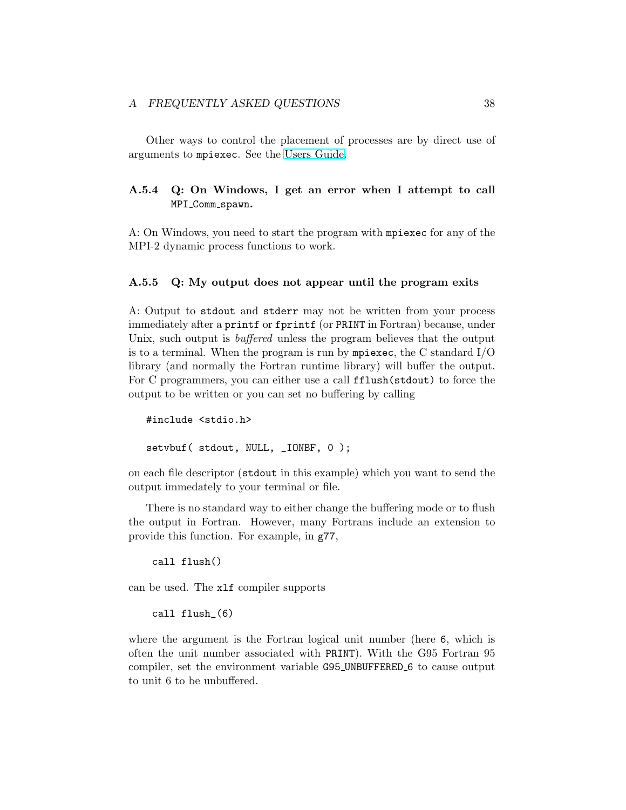### <span id="page-42-0"></span>A FREQUENTLY ASKED QUESTIONS 38

Other ways to control the placement of processes are by direct use of arguments to mpiexec. See the [Users Guide.](http://www-unix.mcs.anl.gov/mpi/mpich2/downloads/mpich2-doc-user.pdf)

## A.5.4 Q: On Windows, I get an error when I attempt to call MPI Comm spawn.

A: On Windows, you need to start the program with mpiexec for any of the MPI-2 dynamic process functions to work.

#### A.5.5 Q: My output does not appear until the program exits

A: Output to stdout and stderr may not be written from your process immediately after a printf or fprintf (or PRINT in Fortran) because, under Unix, such output is *buffered* unless the program believes that the output is to a terminal. When the program is run by  $mpi$  exacts the C standard I/O library (and normally the Fortran runtime library) will buffer the output. For C programmers, you can either use a call fflush(stdout) to force the output to be written or you can set no buffering by calling

```
#include <stdio.h>
setvbuf( stdout, NULL, _IONBF, 0 );
```
on each file descriptor (stdout in this example) which you want to send the output immedately to your terminal or file.

There is no standard way to either change the buffering mode or to flush the output in Fortran. However, many Fortrans include an extension to provide this function. For example, in g77,

call flush()

can be used. The xlf compiler supports

### call flush\_(6)

where the argument is the Fortran logical unit number (here 6, which is often the unit number associated with PRINT). With the G95 Fortran 95 compiler, set the environment variable G95 UNBUFFERED 6 to cause output to unit 6 to be unbuffered.